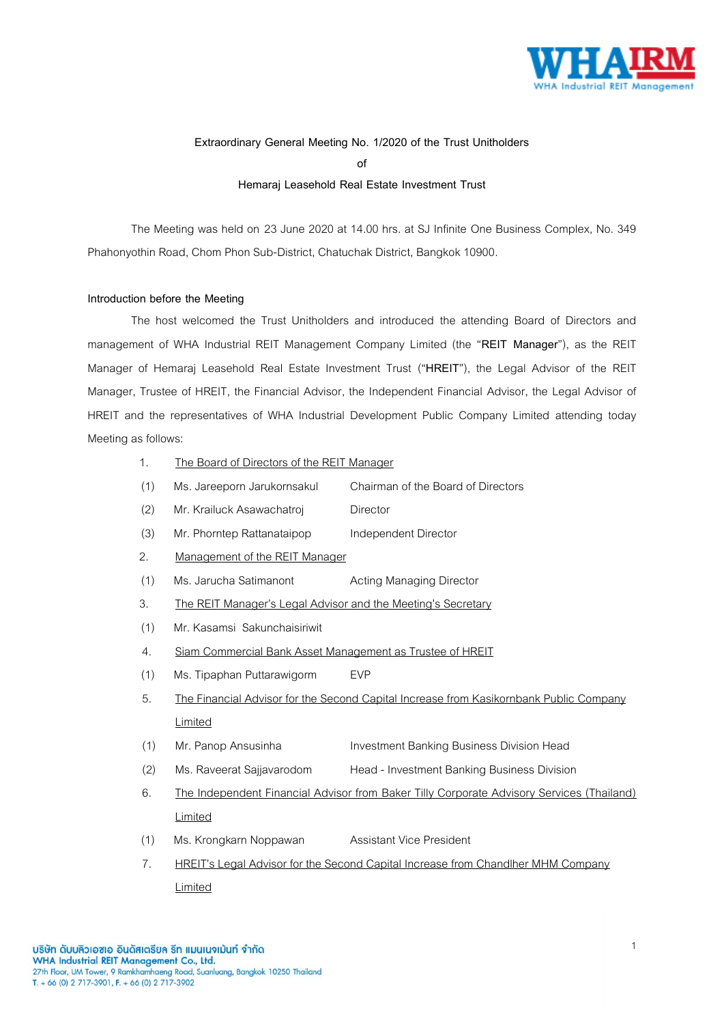

# **Extraordinary General Meeting No. 1/2020 of the Trust Unitholders**

**of** 

# **Hemaraj Leasehold Real Estate Investment Trust**

The Meeting was held on 23 June 2020 at 14.00 hrs. at SJ Infinite One Business Complex, No. 349 Phahonyothin Road, Chom Phon Sub-District, Chatuchak District, Bangkok 10900.

### **Introduction before the Meeting**

The host welcomed the Trust Unitholders and introduced the attending Board of Directors and management of WHA Industrial REIT Management Company Limited (the "**REIT Manager**"), as the REIT Manager of Hemaraj Leasehold Real Estate Investment Trust ("**HREIT**"), the Legal Advisor of the REIT Manager, Trustee of HREIT, the Financial Advisor, the Independent Financial Advisor, the Legal Advisor of HREIT and the representatives of WHA Industrial Development Public Company Limited attending today Meeting as follows:

- 1. The Board of Directors of the REIT Manager
- (1) Ms. Jareeporn Jarukornsakul Chairman of the Board of Directors
- (2) Mr. Krailuck Asawachatroj Director
- (3) Mr. Phorntep Rattanataipop Independent Director
- 2. Management of the REIT Manager
- (1) Ms. Jarucha Satimanont Acting Managing Director
- 3. The REIT Manager's Legal Advisor and the Meeting's Secretary
- (1) Mr. Kasamsi Sakunchaisiriwit
- 4. Siam Commercial Bank Asset Management as Trustee of HREIT
- (1) Ms. Tipaphan Puttarawigorm EVP
- 5. The Financial Advisor for the Second Capital Increase from Kasikornbank Public Company Limited
- (1) Mr. Panop Ansusinha Investment Banking Business Division Head
- (2) Ms. Raveerat Sajjavarodom Head Investment Banking Business Division
- 6. The Independent Financial Advisor from Baker Tilly Corporate Advisory Services (Thailand) Limited
- (1) Ms. Krongkarn Noppawan Assistant Vice President
- 7. HREIT's Legal Advisor for the Second Capital Increase from Chandlher MHM Company Limited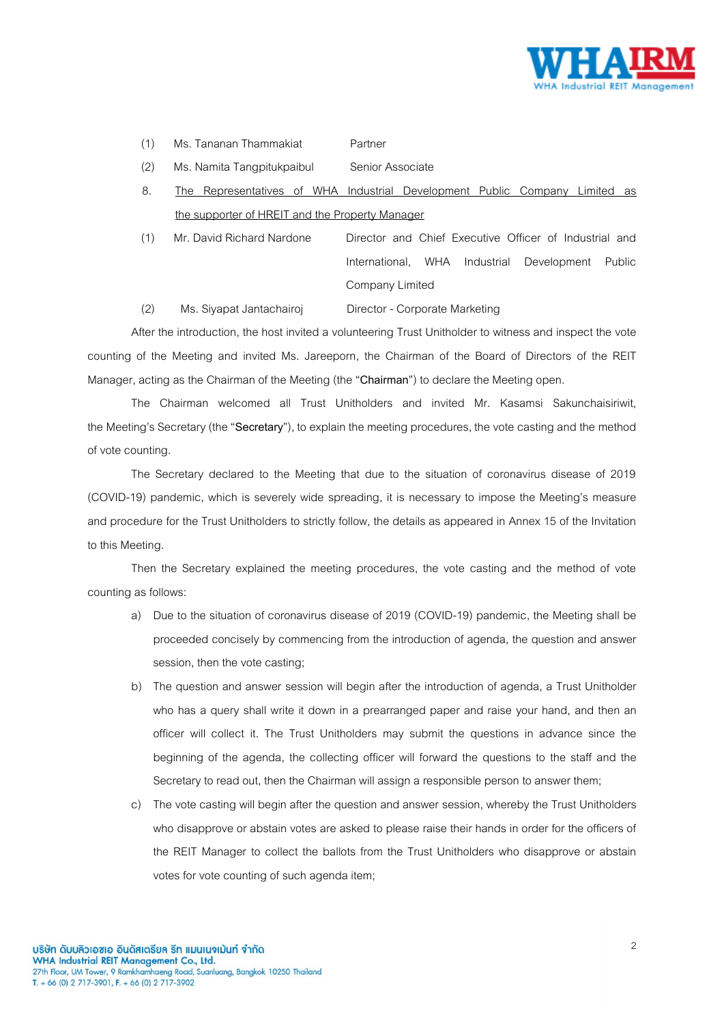

- (1) Ms. Tananan Thammakiat Partner
	-

(2) Ms. Namita Tangpitukpaibul Senior Associate

- 8. The Representatives of WHA Industrial Development Public Company Limited as the supporter of HREIT and the Property Manager
- (1) Mr. David Richard Nardone Director and Chief Executive Officer of Industrial and International, WHA Industrial Development Public Company Limited

(2) Ms. Siyapat Jantachairoj Director - Corporate Marketing

After the introduction, the host invited a volunteering Trust Unitholder to witness and inspect the vote counting of the Meeting and invited Ms. Jareeporn, the Chairman of the Board of Directors of the REIT Manager, acting as the Chairman of the Meeting (the "**Chairman**") to declare the Meeting open.

The Chairman welcomed all Trust Unitholders and invited Mr. Kasamsi Sakunchaisiriwit, the Meeting's Secretary(the "**Secretary**"), to explain the meeting procedures, the vote casting and the method of vote counting.

The Secretary declared to the Meeting that due to the situation of coronavirus disease of 2019 (COVID-19) pandemic, which is severely wide spreading, it is necessary to impose the Meeting's measure and procedure for the Trust Unitholders to strictly follow, the details as appeared in Annex 15 of the Invitation to this Meeting.

Then the Secretary explained the meeting procedures, the vote casting and the method of vote counting as follows:

- a) Due to the situation of coronavirus disease of 2019 (COVID-19) pandemic, the Meeting shall be proceeded concisely by commencing from the introduction of agenda, the question and answer session, then the vote casting;
- b) The question and answer session will begin after the introduction of agenda, a Trust Unitholder who has a query shall write it down in a prearranged paper and raise your hand, and then an officer will collect it. The Trust Unitholders may submit the questions in advance since the beginning of the agenda, the collecting officer will forward the questions to the staff and the Secretary to read out, then the Chairman will assign a responsible person to answer them;
- c) The vote casting will begin after the question and answer session, whereby the Trust Unitholders who disapprove or abstain votes are asked to please raise their hands in order for the officers of the REIT Manager to collect the ballots from the Trust Unitholders who disapprove or abstain votes for vote counting of such agenda item;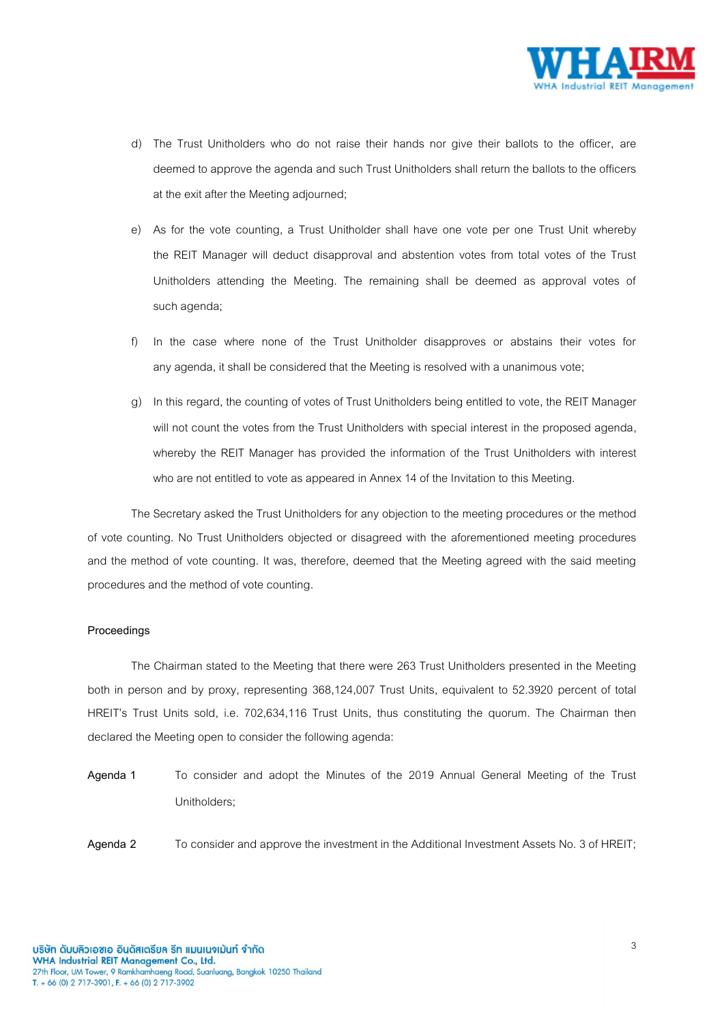

- d) The Trust Unitholders who do not raise their hands nor give their ballots to the officer, are deemed to approve the agenda and such Trust Unitholders shall return the ballots to the officers at the exit after the Meeting adjourned;
- e) As for the vote counting, a Trust Unitholder shall have one vote per one Trust Unit whereby the REIT Manager will deduct disapproval and abstention votes from total votes of the Trust Unitholders attending the Meeting. The remaining shall be deemed as approval votes of such agenda;
- f) In the case where none of the Trust Unitholder disapproves or abstains their votes for any agenda, it shall be considered that the Meeting is resolved with a unanimous vote;
- g) In this regard, the counting of votes of Trust Unitholders being entitled to vote, the REIT Manager will not count the votes from the Trust Unitholders with special interest in the proposed agenda, whereby the REIT Manager has provided the information of the Trust Unitholders with interest who are not entitled to vote as appeared in Annex 14 of the Invitation to this Meeting.

The Secretary asked the Trust Unitholders for any objection to the meeting procedures or the method of vote counting. No Trust Unitholders objected or disagreed with the aforementioned meeting procedures and the method of vote counting. It was, therefore, deemed that the Meeting agreed with the said meeting procedures and the method of vote counting.

#### **Proceedings**

The Chairman stated to the Meeting that there were 263 Trust Unitholders presented in the Meeting both in person and by proxy, representing 368,124,007 Trust Units, equivalent to 52.3920 percent of total HREIT's Trust Units sold, i.e. 702,634,116 Trust Units, thus constituting the quorum. The Chairman then declared the Meeting open to consider the following agenda:

**Agenda 1** To consider and adopt the Minutes of the 2019 Annual General Meeting of the Trust Unitholders;

**Agenda 2** To consider and approve the investment in the Additional Investment Assets No. 3 of HREIT;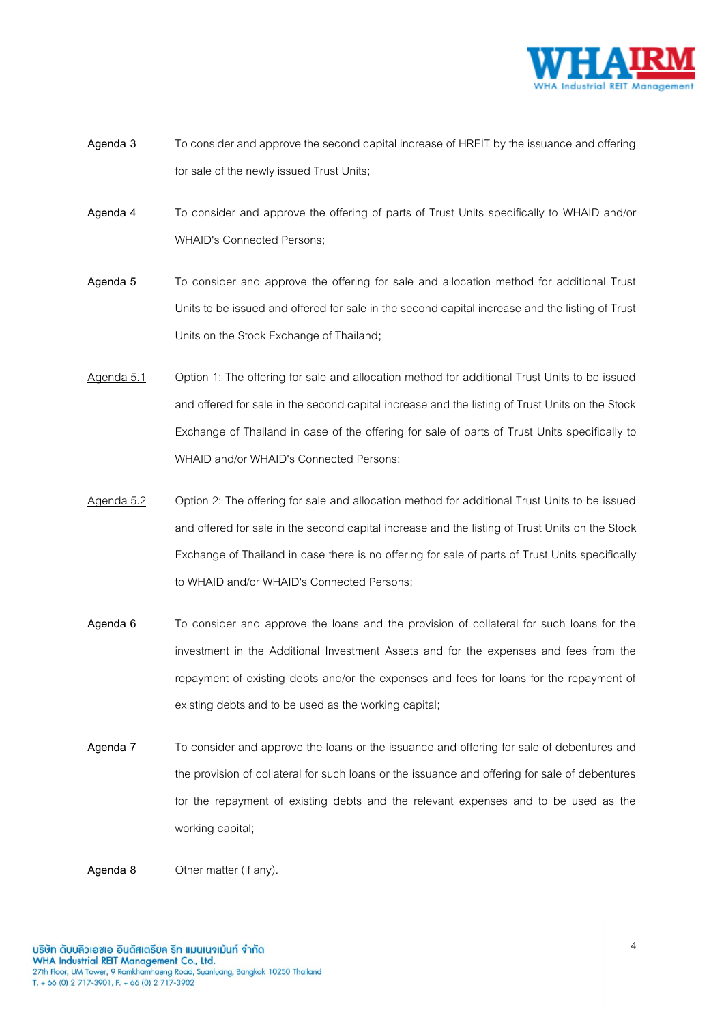

- **Agenda 3** To consider and approve the second capital increase of HREIT by the issuance and offering for sale of the newly issued Trust Units;
- **Agenda 4** To consider and approve the offering of parts of Trust Units specifically to WHAID and/or WHAID's Connected Persons;
- **Agenda 5** To consider and approve the offering for sale and allocation method for additional Trust Units to be issued and offered for sale in the second capital increase and the listing of Trust Units on the Stock Exchange of Thailand**;**
- Agenda 5.1 Option 1: The offering for sale and allocation method for additional Trust Units to be issued and offered for sale in the second capital increase and the listing of Trust Units on the Stock Exchange of Thailand in case of the offering for sale of parts of Trust Units specifically to WHAID and/or WHAID's Connected Persons;
- Agenda 5.2 Option 2: The offering for sale and allocation method for additional Trust Units to be issued and offered for sale in the second capital increase and the listing of Trust Units on the Stock Exchange of Thailand in case there is no offering for sale of parts of Trust Units specifically to WHAID and/or WHAID's Connected Persons;
- **Agenda 6** To consider and approve the loans and the provision of collateral for such loans for the investment in the Additional Investment Assets and for the expenses and fees from the repayment of existing debts and/or the expenses and fees for loans for the repayment of existing debts and to be used as the working capital;
- **Agenda 7** To consider and approve the loans or the issuance and offering for sale of debentures and the provision of collateral for such loans or the issuance and offering for sale of debentures for the repayment of existing debts and the relevant expenses and to be used as the working capital;

**Agenda 8** Other matter (if any).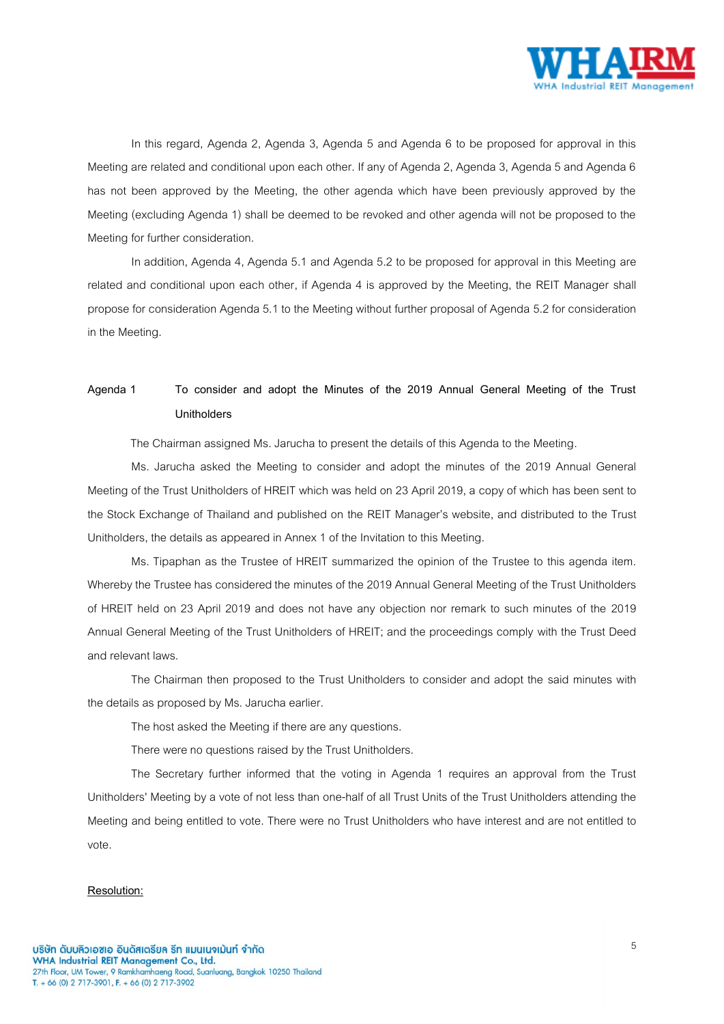

In this regard, Agenda 2, Agenda 3, Agenda 5 and Agenda 6 to be proposed for approval in this Meeting are related and conditional upon each other. If any of Agenda 2, Agenda 3, Agenda 5 and Agenda 6 has not been approved by the Meeting, the other agenda which have been previously approved by the Meeting (excluding Agenda 1) shall be deemed to be revoked and other agenda will not be proposed to the Meeting for further consideration.

In addition, Agenda 4, Agenda 5.1 and Agenda 5.2 to be proposed for approval in this Meeting are related and conditional upon each other, if Agenda 4 is approved by the Meeting, the REIT Manager shall propose for consideration Agenda 5.1 to the Meeting without further proposal of Agenda 5.2 for consideration in the Meeting.

# **Agenda 1 To consider and adopt the Minutes of the 2019 Annual General Meeting of the Trust Unitholders**

The Chairman assigned Ms. Jarucha to present the details of this Agenda to the Meeting.

Ms. Jarucha asked the Meeting to consider and adopt the minutes of the 2019 Annual General Meeting of the Trust Unitholders of HREIT which was held on 23 April 2019, a copy of which has been sent to the Stock Exchange of Thailand and published on the REIT Manager's website, and distributed to the Trust Unitholders, the details as appeared in Annex 1 of the Invitation to this Meeting.

Ms. Tipaphan as the Trustee of HREIT summarized the opinion of the Trustee to this agenda item. Whereby the Trustee has considered the minutes of the 2019 Annual General Meeting of the Trust Unitholders of HREIT held on 23 April 2019 and does not have any objection nor remark to such minutes of the 2019 Annual General Meeting of the Trust Unitholders of HREIT; and the proceedings comply with the Trust Deed and relevant laws.

The Chairman then proposed to the Trust Unitholders to consider and adopt the said minutes with the details as proposed by Ms. Jarucha earlier.

The host asked the Meeting if there are any questions.

There were no questions raised by the Trust Unitholders.

The Secretary further informed that the voting in Agenda 1 requires an approval from the Trust Unitholders' Meeting by a vote of not less than one-half of all Trust Units of the Trust Unitholders attending the Meeting and being entitled to vote. There were no Trust Unitholders who have interest and are not entitled to vote.

#### **Resolution:**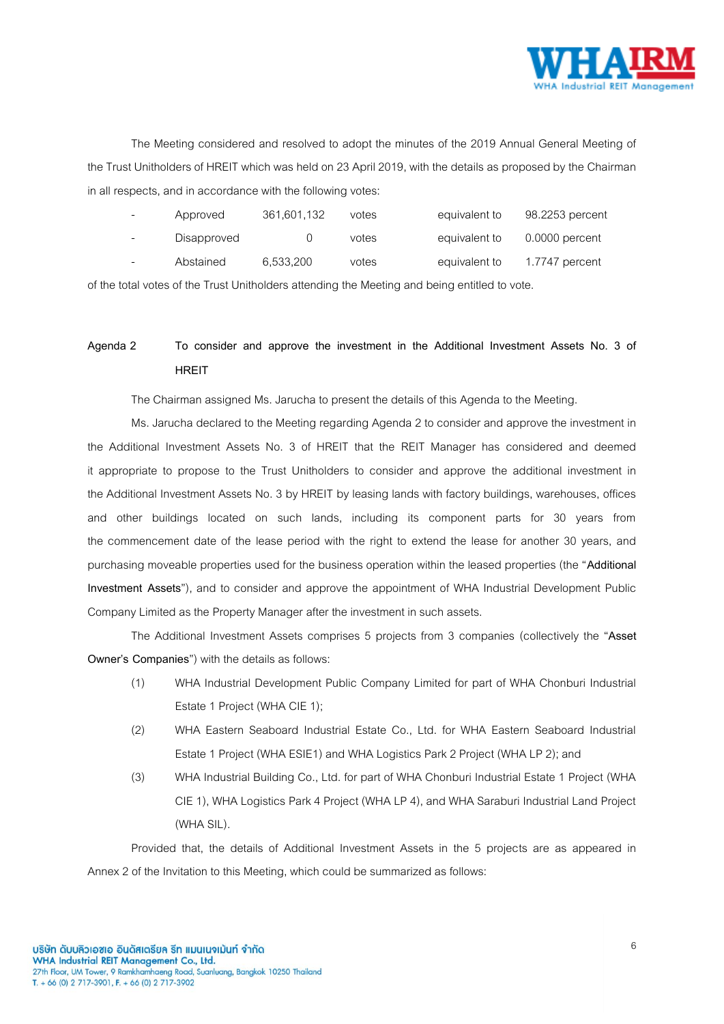

The Meeting considered and resolved to adopt the minutes of the 2019 Annual General Meeting of the Trust Unitholders of HREIT which was held on 23 April 2019, with the details as proposed by the Chairman in all respects, and in accordance with the following votes:

| Approved    | 361,601,132 | votes | equivalent to | 98.2253 percent  |
|-------------|-------------|-------|---------------|------------------|
| Disapproved |             | votes | equivalent to | $0.0000$ percent |
| Abstained   | 6,533,200   | votes | equivalent to | 1.7747 percent   |

of the total votes of the Trust Unitholders attending the Meeting and being entitled to vote.

# **Agenda 2 To consider and approve the investment in the Additional Investment Assets No. 3 of HREIT**

The Chairman assigned Ms. Jarucha to present the details of this Agenda to the Meeting.

Ms. Jarucha declared to the Meeting regarding Agenda 2 to consider and approve the investment in the Additional Investment Assets No. 3 of HREIT that the REIT Manager has considered and deemed it appropriate to propose to the Trust Unitholders to consider and approve the additional investment in the Additional Investment Assets No. 3 by HREIT by leasing lands with factory buildings, warehouses, offices and other buildings located on such lands, including its component parts for 30 years from the commencement date of the lease period with the right to extend the lease for another 30 years, and purchasing moveable properties used for the business operation within the leased properties (the "**Additional Investment Assets**"), and to consider and approve the appointment of WHA Industrial Development Public Company Limited as the Property Manager after the investment in such assets.

The Additional Investment Assets comprises 5 projects from 3 companies (collectively the "**Asset Owner's Companies**") with the details as follows:

- (1) WHA Industrial Development Public Company Limited for part of WHA Chonburi Industrial Estate 1 Project (WHA CIE 1);
- (2) WHA Eastern Seaboard Industrial Estate Co., Ltd. for WHA Eastern Seaboard Industrial Estate 1 Project (WHA ESIE1) and WHA Logistics Park 2 Project (WHA LP 2); and
- (3) WHA Industrial Building Co., Ltd. for part of WHA Chonburi Industrial Estate 1 Project (WHA CIE 1), WHA Logistics Park 4 Project (WHA LP 4), and WHA Saraburi Industrial Land Project (WHA SIL).

Provided that, the details of Additional Investment Assets in the 5 projects are as appeared in Annex 2 of the Invitation to this Meeting, which could be summarized as follows: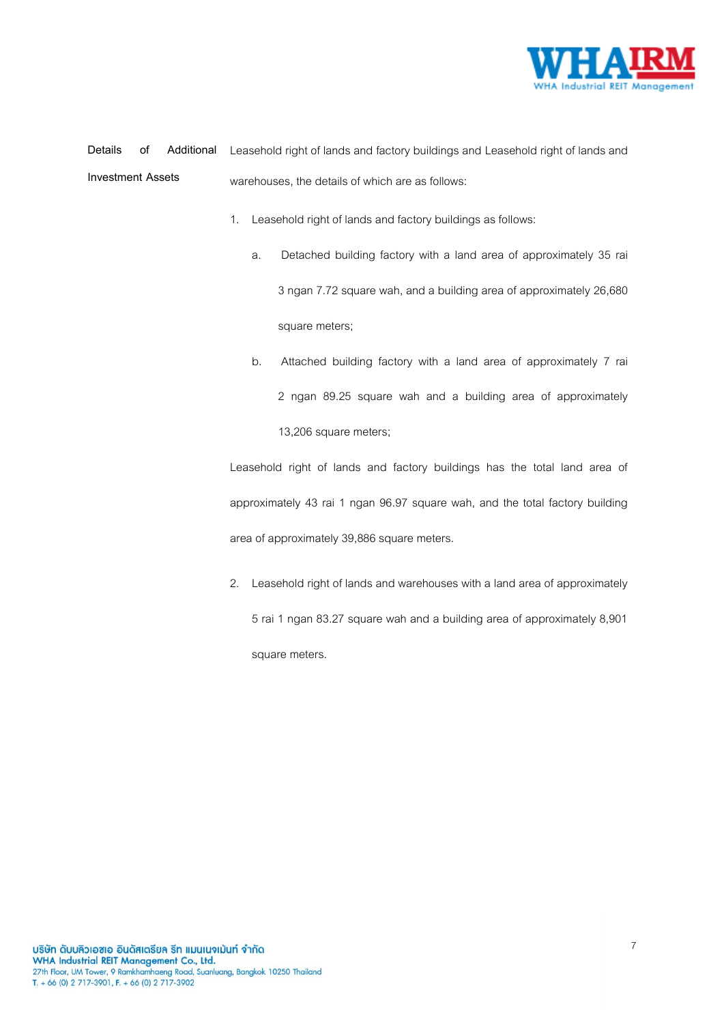

**Details of Additional Investment Assets** Leasehold right of lands and factory buildings and Leasehold right of lands and warehouses, the details of which are as follows:

- 1. Leasehold right of lands and factory buildings as follows:
	- a. Detached building factory with a land area of approximately 35 rai 3 ngan 7.72 square wah, and a building area of approximately 26,680 square meters;
	- b. Attached building factory with a land area of approximately 7 rai 2 ngan 89.25 square wah and a building area of approximately 13,206 square meters;

Leasehold right of lands and factory buildings has the total land area of approximately 43 rai 1 ngan 96.97 square wah, and the total factory building area of approximately 39,886 square meters.

2. Leasehold right of lands and warehouses with a land area of approximately 5 rai 1 ngan 83.27 square wah and a building area of approximately 8,901 square meters.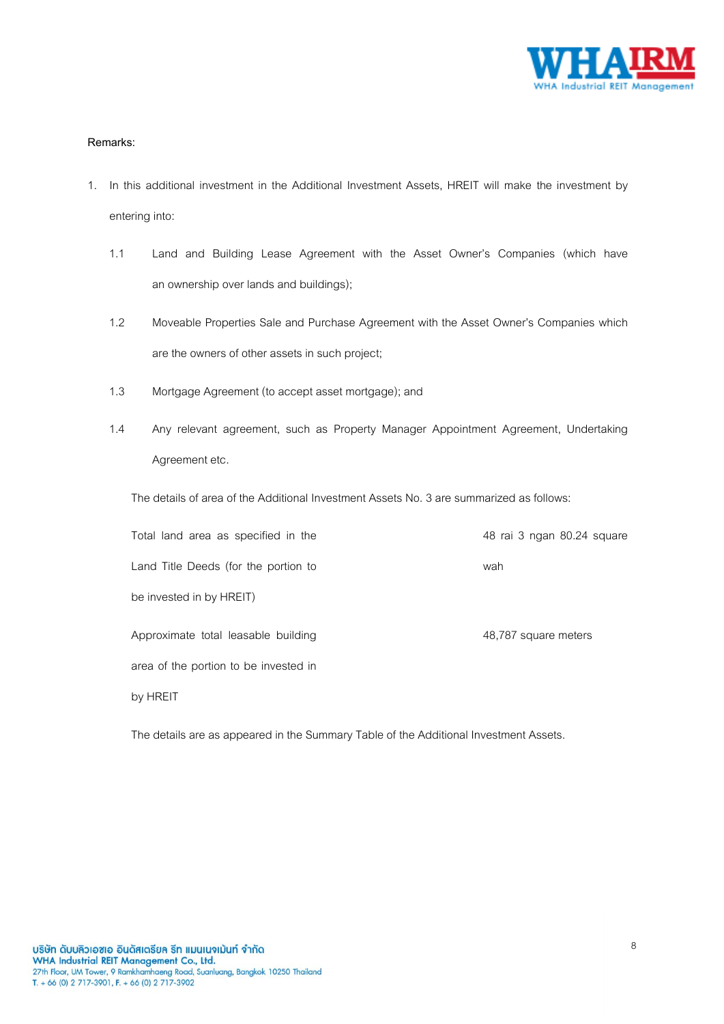

### **Remarks:**

- 1. In this additional investment in the Additional Investment Assets, HREIT will make the investment by entering into:
	- 1.1 Land and Building Lease Agreement with the Asset Owner's Companies (which have an ownership over lands and buildings);
	- 1.2 Moveable Properties Sale and Purchase Agreement with the Asset Owner's Companies which are the owners of other assets in such project;
	- 1.3 Mortgage Agreement (to accept asset mortgage); and
	- 1.4 Any relevant agreement, such as Property Manager Appointment Agreement, Undertaking Agreement etc.

The details of area of the Additional Investment Assets No. 3 are summarized as follows:

| Total land area as specified in the   | 48 rai 3 ngan 80.24 square |
|---------------------------------------|----------------------------|
| Land Title Deeds (for the portion to  | wah                        |
| be invested in by HREIT)              |                            |
| Approximate total leasable building   | 48,787 square meters       |
| area of the portion to be invested in |                            |
| by HREIT                              |                            |

The details are as appeared in the Summary Table of the Additional Investment Assets.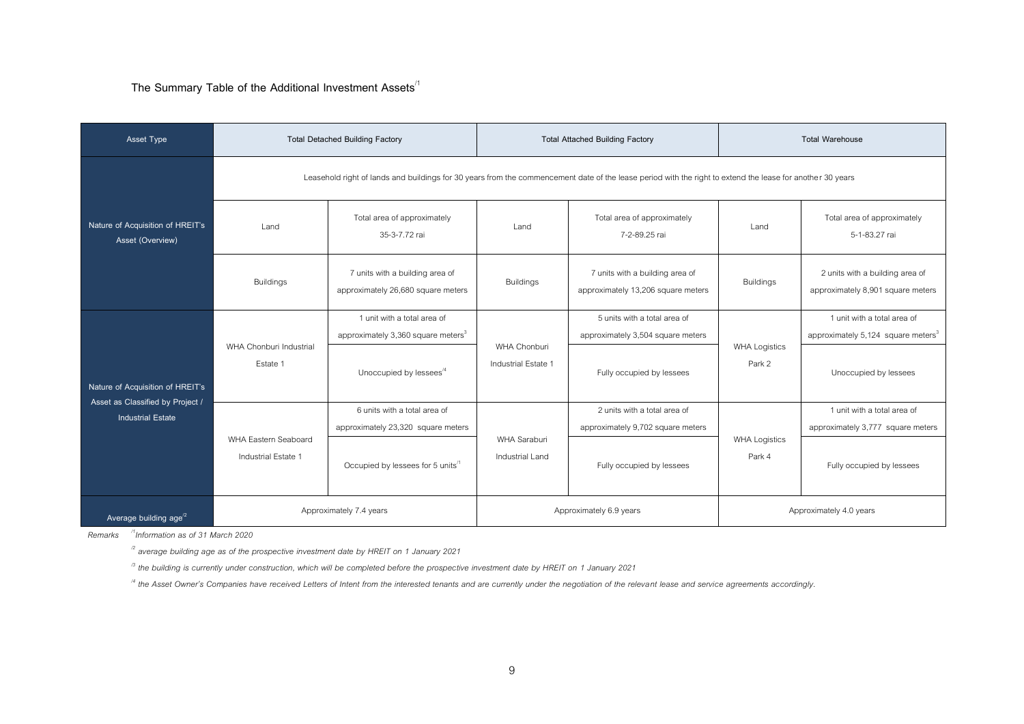**The Summary Table of the Additional Investment Assets**/1

| Asset Type                                                   |                                             | <b>Total Detached Building Factory</b>                                                                                                                     |                                     | <b>Total Attached Building Factory</b>                                |                                | <b>Total Warehouse</b>                                                        |  |
|--------------------------------------------------------------|---------------------------------------------|------------------------------------------------------------------------------------------------------------------------------------------------------------|-------------------------------------|-----------------------------------------------------------------------|--------------------------------|-------------------------------------------------------------------------------|--|
|                                                              |                                             | Leasehold right of lands and buildings for 30 years from the commencement date of the lease period with the right to extend the lease for another 30 years |                                     |                                                                       |                                |                                                                               |  |
| Nature of Acquisition of HREIT's<br>Asset (Overview)         | Land                                        | Total area of approximately<br>35-3-7.72 rai                                                                                                               | I and                               | Total area of approximately<br>7-2-89.25 rai                          | I and                          | Total area of approximately<br>5-1-83.27 rai                                  |  |
|                                                              | <b>Buildings</b>                            | 7 units with a building area of<br>approximately 26,680 square meters                                                                                      | <b>Buildings</b>                    | 7 units with a building area of<br>approximately 13,206 square meters | <b>Buildings</b>               | 2 units with a building area of<br>approximately 8,901 square meters          |  |
|                                                              | WHA Chonburi Industrial<br>Estate 1         | 1 unit with a total area of<br>approximately 3,360 square meters <sup>3</sup>                                                                              | WHA Chonburi<br>Industrial Estate 1 | 5 units with a total area of<br>approximately 3,504 square meters     | <b>WHA Logistics</b><br>Park 2 | 1 unit with a total area of<br>approximately 5,124 square meters <sup>3</sup> |  |
| Nature of Acquisition of HREIT's                             |                                             | Unoccupied by lessees <sup>14</sup>                                                                                                                        |                                     | Fully occupied by lessees                                             |                                | Unoccupied by lessees                                                         |  |
| Asset as Classified by Project /<br><b>Industrial Estate</b> |                                             | 6 units with a total area of<br>approximately 23,320 square meters                                                                                         |                                     | 2 units with a total area of<br>approximately 9,702 square meters     |                                | 1 unit with a total area of<br>approximately 3,777 square meters              |  |
|                                                              | WHA Eastern Seaboard<br>Industrial Estate 1 | Occupied by lessees for 5 units <sup>11</sup>                                                                                                              | WHA Saraburi<br>Industrial Land     | Fully occupied by lessees                                             | <b>WHA Logistics</b><br>Park 4 | Fully occupied by lessees                                                     |  |
| Average building $age^{2}$                                   |                                             | Approximately 7.4 years                                                                                                                                    |                                     | Approximately 6.9 years                                               |                                | Approximately 4.0 years                                                       |  |

*Remarks /1Information as of 31 March 2020*

*/2 average building age as of the prospective investment date by HREIT on 1 January 2021*

*/3 the building is currently under construction, which will be completed before the prospective investment date by HREIT on 1 January 2021*

*/4 the Asset Owner's Companies have received Letters of Intent from the interested tenants and are currently under the negotiation of the relevant lease and service agreements accordingly.*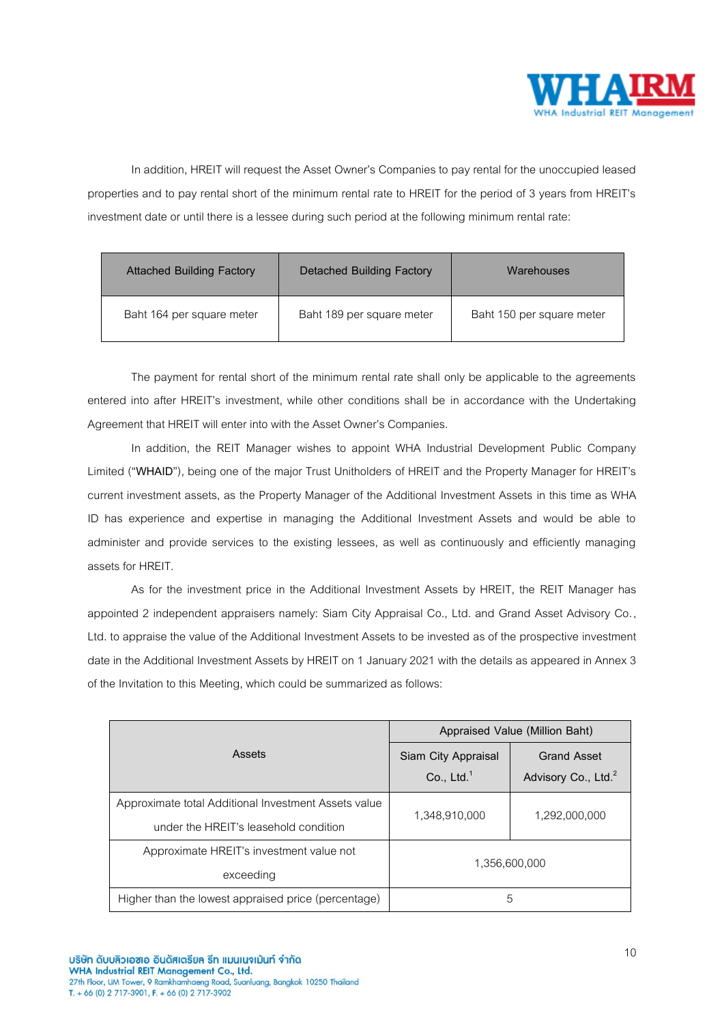

In addition, HREIT will request the Asset Owner's Companies to pay rental for the unoccupied leased properties and to pay rental short of the minimum rental rate to HREIT for the period of 3 years from HREIT's investment date or until there is a lessee during such period at the following minimum rental rate:

| <b>Attached Building Factory</b> | <b>Detached Building Factory</b> | Warehouses                |
|----------------------------------|----------------------------------|---------------------------|
| Baht 164 per square meter        | Baht 189 per square meter        | Baht 150 per square meter |

The payment for rental short of the minimum rental rate shall only be applicable to the agreements entered into after HREIT's investment, while other conditions shall be in accordance with the Undertaking Agreement that HREIT will enter into with the Asset Owner's Companies.

In addition, the REIT Manager wishes to appoint WHA Industrial Development Public Company Limited ("**WHAID**"), being one of the major Trust Unitholders of HREIT and the Property Manager for HREIT's current investment assets, as the Property Manager of the Additional Investment Assets in this time as WHA ID has experience and expertise in managing the Additional Investment Assets and would be able to administer and provide services to the existing lessees, as well as continuously and efficiently managing assets for HREIT.

As for the investment price in the Additional Investment Assets by HREIT, the REIT Manager has appointed 2 independent appraisers namely: Siam City Appraisal Co., Ltd. and Grand Asset Advisory Co., Ltd. to appraise the value of the Additional Investment Assets to be invested as of the prospective investment date in the Additional Investment Assets by HREIT on 1 January 2021 with the details as appeared in Annex 3 of the Invitation to this Meeting, which could be summarized as follows:

|                                                      | Appraised Value (Million Baht) |                                 |  |
|------------------------------------------------------|--------------------------------|---------------------------------|--|
| Assets                                               | Siam City Appraisal            | <b>Grand Asset</b>              |  |
|                                                      | Co., Ltd. $1$                  | Advisory Co., Ltd. <sup>2</sup> |  |
| Approximate total Additional Investment Assets value | 1.348.910.000                  |                                 |  |
| under the HREIT's leasehold condition                |                                | 1,292,000,000                   |  |
| Approximate HREIT's investment value not             | 1.356.600.000                  |                                 |  |
| exceeding                                            |                                |                                 |  |
| Higher than the lowest appraised price (percentage)  |                                | 5                               |  |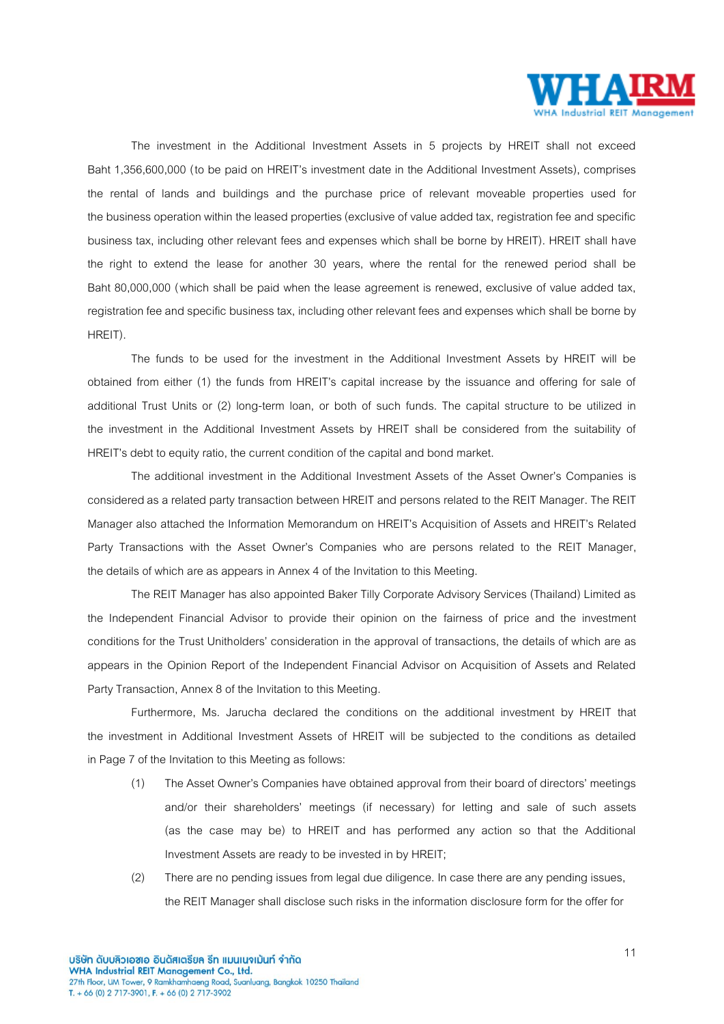

The investment in the Additional Investment Assets in 5 projects by HREIT shall not exceed Baht 1,356,600,000 (to be paid on HREIT's investment date in the Additional Investment Assets), comprises the rental of lands and buildings and the purchase price of relevant moveable properties used for the business operation within the leased properties (exclusive of value added tax, registration fee and specific business tax, including other relevant fees and expenses which shall be borne by HREIT). HREIT shall have the right to extend the lease for another 30 years, where the rental for the renewed period shall be Baht 80,000,000 (which shall be paid when the lease agreement is renewed, exclusive of value added tax, registration fee and specific business tax, including other relevant fees and expenses which shall be borne by HREIT).

The funds to be used for the investment in the Additional Investment Assets by HREIT will be obtained from either (1) the funds from HREIT's capital increase by the issuance and offering for sale of additional Trust Units or (2) long-term loan, or both of such funds. The capital structure to be utilized in the investment in the Additional Investment Assets by HREIT shall be considered from the suitability of HREIT's debt to equity ratio, the current condition of the capital and bond market.

The additional investment in the Additional Investment Assets of the Asset Owner's Companies is considered as a related party transaction between HREIT and persons related to the REIT Manager. The REIT Manager also attached the Information Memorandum on HREIT's Acquisition of Assets and HREIT's Related Party Transactions with the Asset Owner's Companies who are persons related to the REIT Manager, the details of which are as appears in Annex 4 of the Invitation to this Meeting.

The REIT Manager has also appointed Baker Tilly Corporate Advisory Services (Thailand) Limited as the Independent Financial Advisor to provide their opinion on the fairness of price and the investment conditions for the Trust Unitholders' consideration in the approval of transactions, the details of which are as appears in the Opinion Report of the Independent Financial Advisor on Acquisition of Assets and Related Party Transaction, Annex 8 of the Invitation to this Meeting.

Furthermore, Ms. Jarucha declared the conditions on the additional investment by HREIT that the investment in Additional Investment Assets of HREIT will be subjected to the conditions as detailed in Page 7 of the Invitation to this Meeting as follows:

- (1) The Asset Owner's Companies have obtained approval from their board of directors' meetings and/or their shareholders' meetings (if necessary) for letting and sale of such assets (as the case may be) to HREIT and has performed any action so that the Additional Investment Assets are ready to be invested in by HREIT;
- (2) There are no pending issues from legal due diligence. In case there are any pending issues, the REIT Manager shall disclose such risks in the information disclosure form for the offer for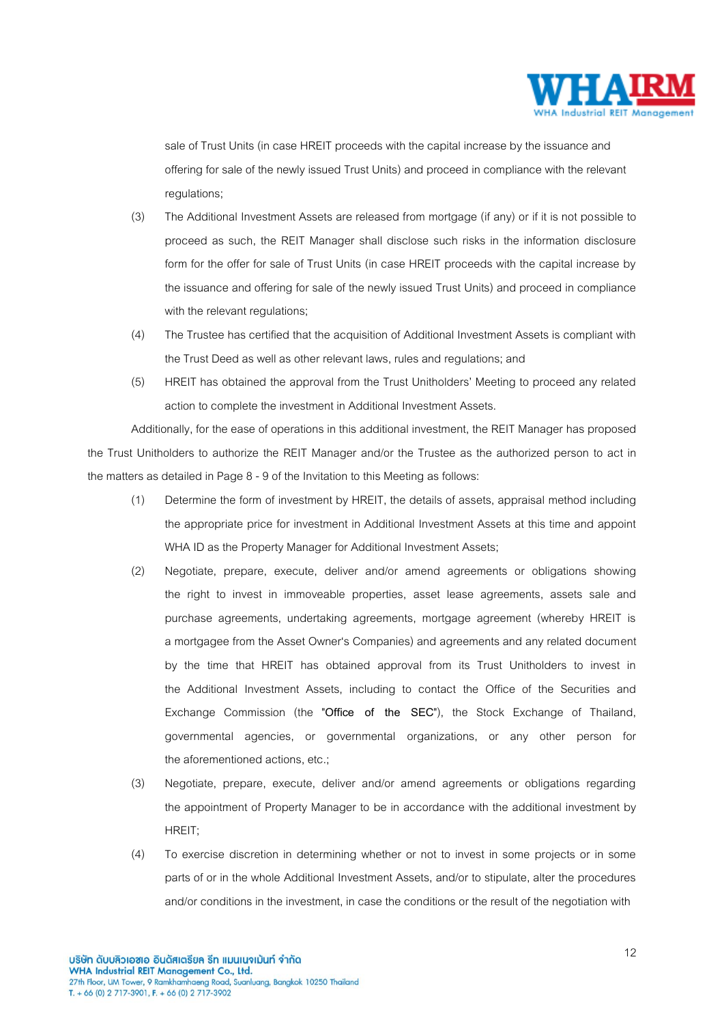

sale of Trust Units (in case HREIT proceeds with the capital increase by the issuance and offering for sale of the newly issued Trust Units) and proceed in compliance with the relevant regulations;

- (3) The Additional Investment Assets are released from mortgage (if any) or if it is not possible to proceed as such, the REIT Manager shall disclose such risks in the information disclosure form for the offer for sale of Trust Units (in case HREIT proceeds with the capital increase by the issuance and offering for sale of the newly issued Trust Units) and proceed in compliance with the relevant regulations;
- (4) The Trustee has certified that the acquisition of Additional Investment Assets is compliant with the Trust Deed as well as other relevant laws, rules and regulations; and
- (5) HREIT has obtained the approval from the Trust Unitholders' Meeting to proceed any related action to complete the investment in Additional Investment Assets.

Additionally, for the ease of operations in this additional investment, the REIT Manager has proposed the Trust Unitholders to authorize the REIT Manager and/or the Trustee as the authorized person to act in the matters as detailed in Page 8 - 9 of the Invitation to this Meeting as follows:

- (1) Determine the form of investment by HREIT, the details of assets, appraisal method including the appropriate price for investment in Additional Investment Assets at this time and appoint WHA ID as the Property Manager for Additional Investment Assets;
- (2) Negotiate, prepare, execute, deliver and/or amend agreements or obligations showing the right to invest in immoveable properties, asset lease agreements, assets sale and purchase agreements, undertaking agreements, mortgage agreement (whereby HREIT is a mortgagee from the Asset Owner's Companies) and agreements and any related document by the time that HREIT has obtained approval from its Trust Unitholders to invest in the Additional Investment Assets, including to contact the Office of the Securities and Exchange Commission (the "**Office of the SEC**"), the Stock Exchange of Thailand, governmental agencies, or governmental organizations, or any other person for the aforementioned actions, etc.;
- (3) Negotiate, prepare, execute, deliver and/or amend agreements or obligations regarding the appointment of Property Manager to be in accordance with the additional investment by HREIT;
- (4) To exercise discretion in determining whether or not to invest in some projects or in some parts of or in the whole Additional Investment Assets, and/or to stipulate, alter the procedures and/or conditions in the investment, in case the conditions or the result of the negotiation with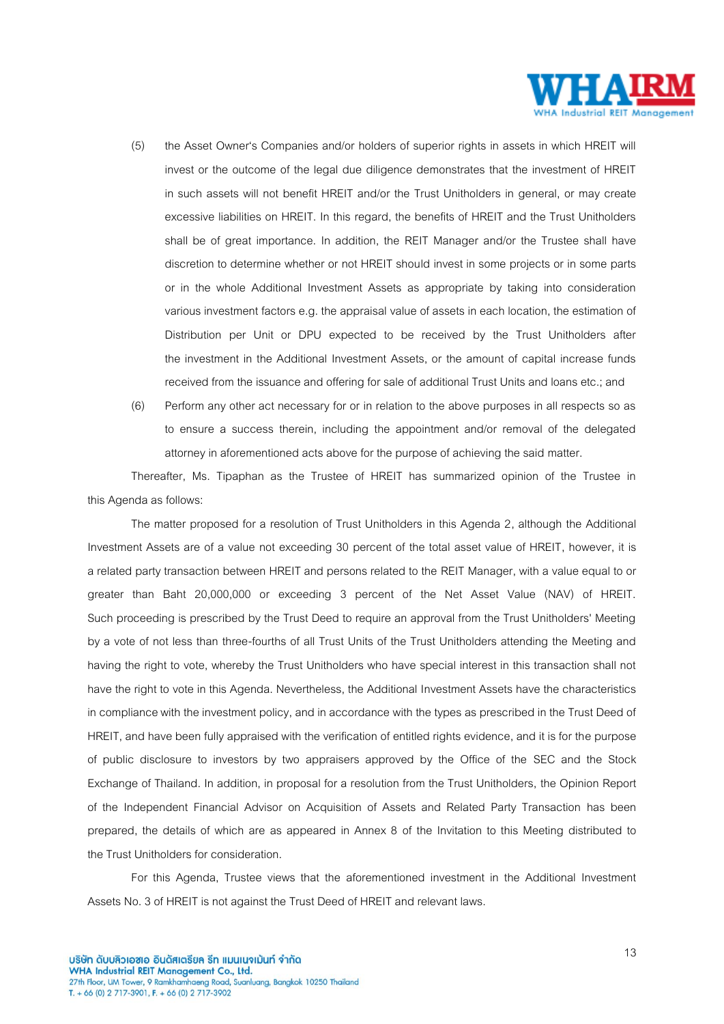

- (5) the Asset Owner's Companies and/or holders of superior rights in assets in which HREIT will invest or the outcome of the legal due diligence demonstrates that the investment of HREIT in such assets will not benefit HREIT and/or the Trust Unitholders in general, or may create excessive liabilities on HREIT. In this regard, the benefits of HREIT and the Trust Unitholders shall be of great importance. In addition, the REIT Manager and/or the Trustee shall have discretion to determine whether or not HREIT should invest in some projects or in some parts or in the whole Additional Investment Assets as appropriate by taking into consideration various investment factors e.g. the appraisal value of assets in each location, the estimation of Distribution per Unit or DPU expected to be received by the Trust Unitholders after the investment in the Additional Investment Assets, or the amount of capital increase funds received from the issuance and offering for sale of additional Trust Units and loans etc.; and
- (6) Perform any other act necessary for or in relation to the above purposes in all respects so as to ensure a success therein, including the appointment and/or removal of the delegated attorney in aforementioned acts above for the purpose of achieving the said matter.

Thereafter, Ms. Tipaphan as the Trustee of HREIT has summarized opinion of the Trustee in this Agenda as follows:

The matter proposed for a resolution of Trust Unitholders in this Agenda 2, although the Additional Investment Assets are of a value not exceeding 30 percent of the total asset value of HREIT, however, it is a related party transaction between HREIT and persons related to the REIT Manager, with a value equal to or greater than Baht 20,000,000 or exceeding 3 percent of the Net Asset Value (NAV) of HREIT. Such proceeding is prescribed by the Trust Deed to require an approval from the Trust Unitholders' Meeting by a vote of not less than three-fourths of all Trust Units of the Trust Unitholders attending the Meeting and having the right to vote, whereby the Trust Unitholders who have special interest in this transaction shall not have the right to vote in this Agenda. Nevertheless, the Additional Investment Assets have the characteristics in compliance with the investment policy, and in accordance with the types as prescribed in the Trust Deed of HREIT, and have been fully appraised with the verification of entitled rights evidence, and it is for the purpose of public disclosure to investors by two appraisers approved by the Office of the SEC and the Stock Exchange of Thailand. In addition, in proposal for a resolution from the Trust Unitholders, the Opinion Report of the Independent Financial Advisor on Acquisition of Assets and Related Party Transaction has been prepared, the details of which are as appeared in Annex 8 of the Invitation to this Meeting distributed to the Trust Unitholders for consideration.

For this Agenda, Trustee views that the aforementioned investment in the Additional Investment Assets No. 3 of HREIT is not against the Trust Deed of HREIT and relevant laws.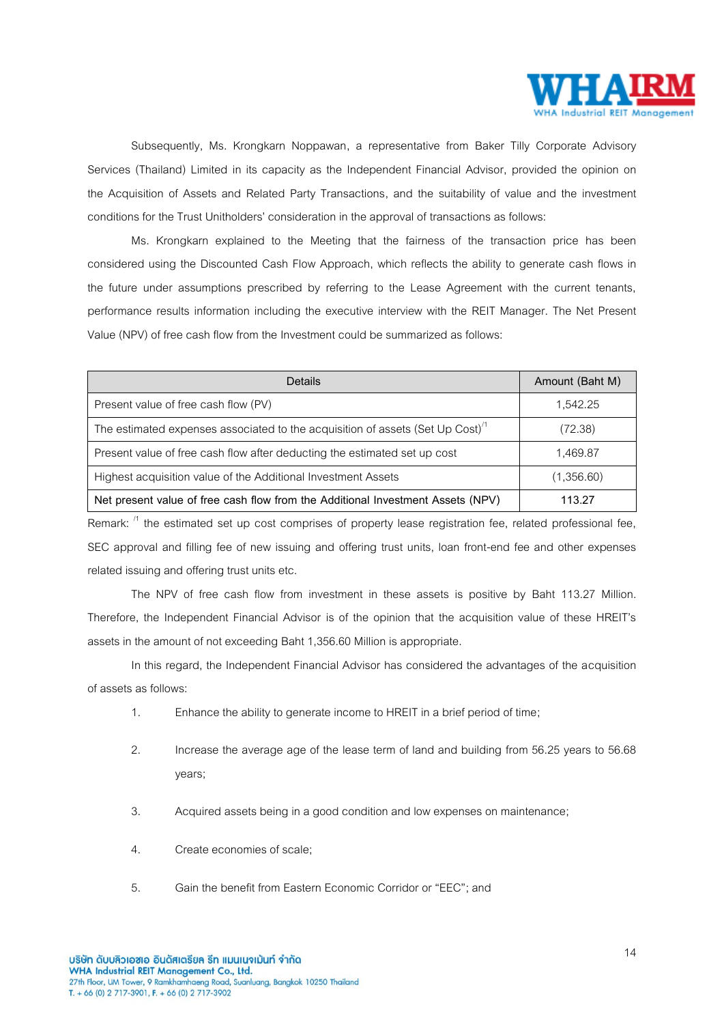

Subsequently, Ms. Krongkarn Noppawan, a representative from Baker Tilly Corporate Advisory Services (Thailand) Limited in its capacity as the Independent Financial Advisor, provided the opinion on the Acquisition of Assets and Related Party Transactions, and the suitability of value and the investment conditions for the Trust Unitholders' consideration in the approval of transactions as follows:

Ms. Krongkarn explained to the Meeting that the fairness of the transaction price has been considered using the Discounted Cash Flow Approach, which reflects the ability to generate cash flows in the future under assumptions prescribed by referring to the Lease Agreement with the current tenants, performance results information including the executive interview with the REIT Manager. The Net Present Value (NPV) of free cash flow from the Investment could be summarized as follows:

| Details                                                                                   | Amount (Baht M) |
|-------------------------------------------------------------------------------------------|-----------------|
| Present value of free cash flow (PV)                                                      | 1.542.25        |
| The estimated expenses associated to the acquisition of assets (Set Up Cost) <sup>1</sup> | (72.38)         |
| Present value of free cash flow after deducting the estimated set up cost                 | 1,469.87        |
| Highest acquisition value of the Additional Investment Assets                             | (1,356.60)      |
| Net present value of free cash flow from the Additional Investment Assets (NPV)           | 113.27          |

Remark:  $11$  the estimated set up cost comprises of property lease registration fee, related professional fee, SEC approval and filling fee of new issuing and offering trust units, loan front-end fee and other expenses related issuing and offering trust units etc.

The NPV of free cash flow from investment in these assets is positive by Baht 113.27 Million. Therefore, the Independent Financial Advisor is of the opinion that the acquisition value of these HREIT's assets in the amount of not exceeding Baht 1,356.60 Million is appropriate.

In this regard, the Independent Financial Advisor has considered the advantages of the acquisition of assets as follows:

- 1. Enhance the ability to generate income to HREIT in a brief period of time;
- 2. Increase the average age of the lease term of land and building from 56.25 years to 56.68 years;
- 3. Acquired assets being in a good condition and low expenses on maintenance;
- 4. Create economies of scale;
- 5. Gain the benefit from Eastern Economic Corridor or "EEC";and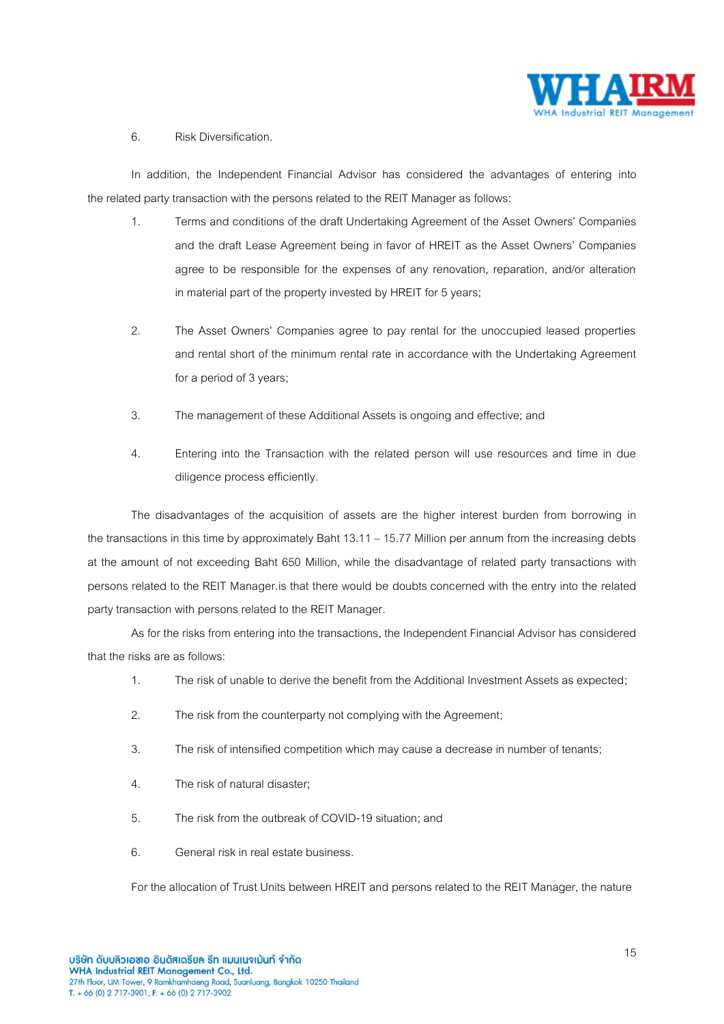

# 6. Risk Diversification.

In addition, the Independent Financial Advisor has considered the advantages of entering into the related party transaction with the persons related to the REIT Manager as follows:

- 1. Terms and conditions of the draft Undertaking Agreement of the Asset Owners' Companies and the draft Lease Agreement being in favor of HREIT as the Asset Owners' Companies agree to be responsible for the expenses of any renovation, reparation, and/or alteration in material part of the property invested by HREIT for 5 years;
- 2. The Asset Owners' Companies agree to pay rental for the unoccupied leased properties and rental short of the minimum rental rate in accordance with the Undertaking Agreement for a period of 3 years;
- 3. The management of these Additional Assets is ongoing and effective; and
- 4. Entering into the Transaction with the related person will use resources and time in due diligence process efficiently.

The disadvantages of the acquisition of assets are the higher interest burden from borrowing in the transactions in this time by approximately Baht 13.11 – 15.77 Million per annum from the increasing debts at the amount of not exceeding Baht 650 Million, while the disadvantage of related party transactions with persons related to the REIT Manager.is that there would be doubtsconcerned with the entry into the related party transaction with persons related to the REIT Manager.

As for the risks from entering into the transactions, the Independent Financial Advisor has considered that the risks are as follows:

- 1. The risk of unable to derive the benefit from the Additional Investment Assets as expected;
- 2. The risk from the counterparty not complying with the Agreement;
- 3. The risk of intensified competition which may cause a decrease in number of tenants;
- 4. The risk of natural disaster;
- 5. The risk from the outbreak of COVID-19 situation;and
- 6. General risk in real estate business.

For the allocation of Trust Units between HREIT and persons related to the REIT Manager, the nature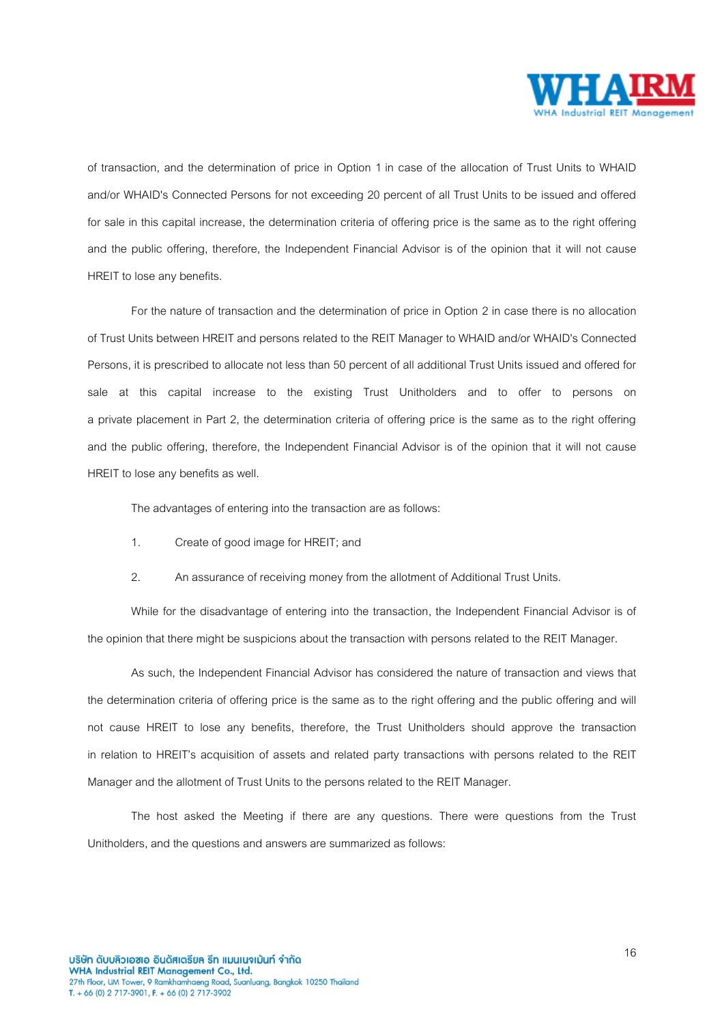

of transaction, and the determination of price in Option 1 in case of the allocation of Trust Units to WHAID and/or WHAID's Connected Persons for not exceeding 20 percent of all Trust Units to be issued and offered for sale in this capital increase, the determination criteria of offering price is the same as to the right offering and the public offering, therefore, the Independent Financial Advisor is of the opinion that it will not cause HREIT to lose any benefits.

For the nature of transaction and the determination of price in Option 2 in case there is no allocation of Trust Units between HREIT and persons related to the REIT Manager to WHAID and/or WHAID's Connected Persons, it is prescribed to allocate not less than 50 percent of all additional Trust Units issued and offered for sale at this capital increase to the existing Trust Unitholders and to offer to persons on a private placement in Part 2, the determination criteria of offering price is the same as to the right offering and the public offering, therefore, the Independent Financial Advisor is of the opinion that it will not cause HREIT to lose any benefits as well.

The advantages of entering into the transaction are as follows:

- 1. Create of good image for HREIT; and
- 2. An assurance of receiving money from the allotment of Additional Trust Units.

While for the disadvantage of entering into the transaction, the Independent Financial Advisor is of the opinion that there might be suspicions about the transaction with persons related to the REIT Manager.

As such, the Independent Financial Advisor has considered the nature of transaction and views that the determination criteria of offering price is the same as to the right offering and the public offering and will not cause HREIT to lose any benefits, therefore, the Trust Unitholders should approve the transaction in relation to HREIT's acquisition of assets and related party transactions with persons related to the REIT Manager and the allotment of Trust Units to the persons related to the REIT Manager.

The host asked the Meeting if there are any questions. There were questions from the Trust Unitholders, and the questions and answers are summarized as follows: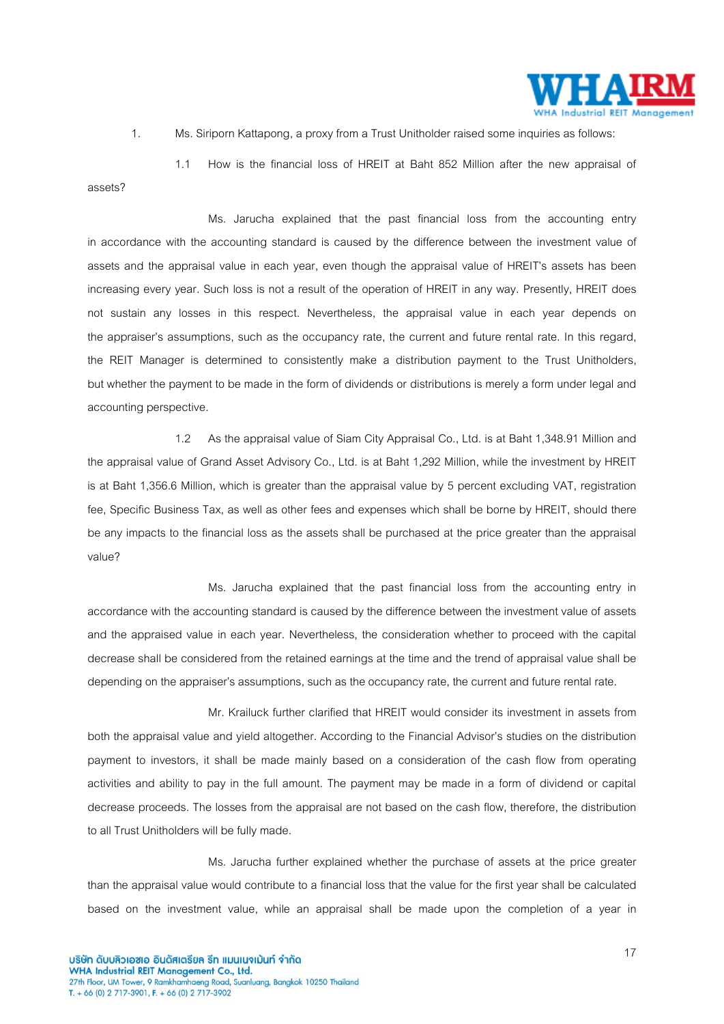

1. Ms. Siriporn Kattapong, a proxy from a Trust Unitholder raised some inquiries as follows:

1.1 How is the financial loss of HREIT at Baht 852 Million after the new appraisal of assets?

Ms. Jarucha explained that the past financial loss from the accounting entry in accordance with the accounting standard is caused by the difference between the investment value of assets and the appraisal value in each year, even though the appraisal value of HREIT's assets has been increasing every year. Such loss is not a result of the operation of HREIT in any way. Presently, HREIT does not sustain any losses in this respect. Nevertheless, the appraisal value in each year depends on the appraiser's assumptions, such as the occupancy rate, the current and future rental rate. In this regard, the REIT Manager is determined to consistently make a distribution payment to the Trust Unitholders, but whether the payment to be made in the form of dividends or distributions is merely a form under legal and accounting perspective.

1.2 As the appraisal value of Siam City Appraisal Co., Ltd. is at Baht 1,348.91 Million and the appraisal value of Grand Asset Advisory Co., Ltd. is at Baht 1,292 Million, while the investment by HREIT is at Baht 1,356.6 Million, which is greater than the appraisal value by 5 percent excluding VAT, registration fee, Specific Business Tax, as well as other fees and expenses which shall be borne by HREIT, should there be any impacts to the financial loss as the assets shall be purchased at the price greater than the appraisal value?

Ms. Jarucha explained that the past financial loss from the accounting entry in accordance with the accounting standard is caused by the difference between the investment value of assets and the appraised value in each year. Nevertheless, the consideration whether to proceed with the capital decrease shall be considered from the retained earnings at the time and the trend of appraisal value shall be depending on the appraiser's assumptions, such as the occupancy rate, the current and future rental rate.

Mr. Krailuck further clarified that HREIT would consider its investment in assets from both the appraisal value and yield altogether. According to the Financial Advisor's studies on the distribution payment to investors, it shall be made mainly based on a consideration of the cash flow from operating activities and ability to pay in the full amount. The payment may be made in a form of dividend or capital decrease proceeds. The losses from the appraisal are not based on the cash flow, therefore, the distribution to all Trust Unitholders will be fully made.

Ms. Jarucha further explained whether the purchase of assets at the price greater than the appraisal value would contribute to a financial loss that the value for the first year shall be calculated based on the investment value, while an appraisal shall be made upon the completion of a year in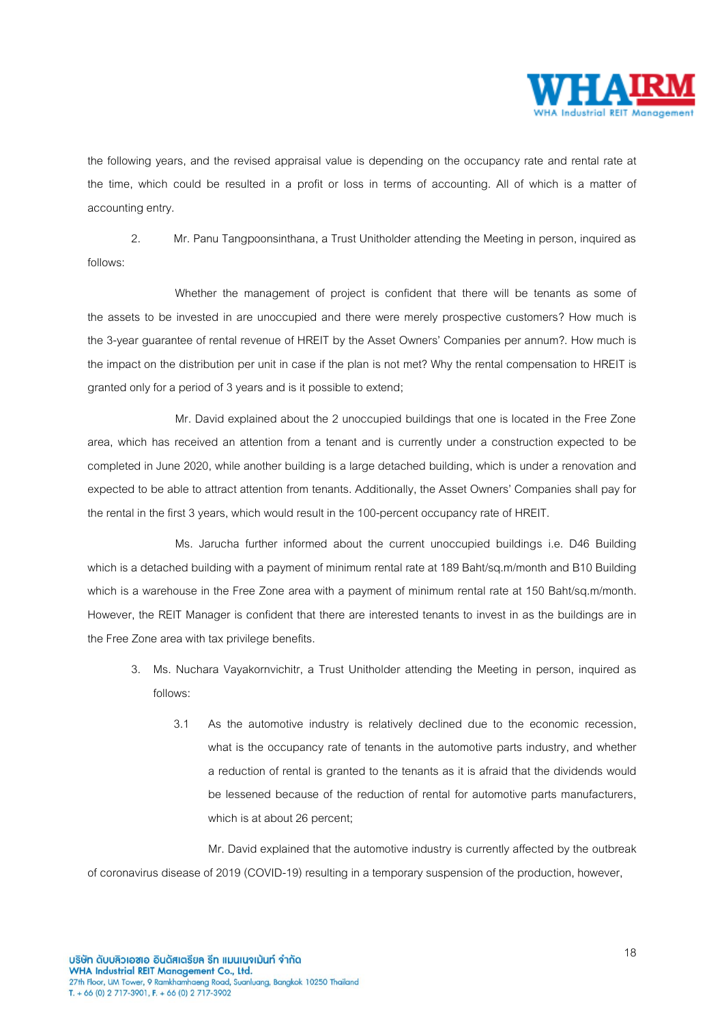

the following years, and the revised appraisal value is depending on the occupancy rate and rental rate at the time, which could be resulted in a profit or loss in terms of accounting. All of which is a matter of accounting entry.

2. Mr. Panu Tangpoonsinthana, a Trust Unitholder attending the Meeting in person, inquired as follows:

Whether the management of project is confident that there will be tenants as some of the assets to be invested in are unoccupied and there were merely prospective customers? How much is the 3-year guarantee of rental revenue of HREIT by the Asset Owners' Companies per annum?. How much is the impact on the distribution per unit in case if the plan is not met? Why the rental compensation to HREIT is granted only for a period of 3 years and is it possible to extend;

Mr. David explained about the 2 unoccupied buildings that one is located in the Free Zone area, which has received an attention from a tenant and is currently under a construction expected to be completed in June 2020, while another building is a large detached building, which is under a renovation and expected to be able to attract attention from tenants. Additionally, the Asset Owners' Companies shall pay for the rental in the first 3 years, which would result inthe 100-percent occupancy rate of HREIT.

Ms. Jarucha further informed about the current unoccupied buildings i.e. D46 Building which is a detached building with a payment of minimum rental rate at 189 Baht/sq.m/month and B10 Building which is a warehouse in the Free Zone area with a payment of minimum rental rate at 150 Baht/sq.m/month. However, the REIT Manager is confident that there are interested tenants to invest in as the buildings are in the Free Zone area with tax privilege benefits.

- 3. Ms. Nuchara Vayakornvichitr, a Trust Unitholder attending the Meeting in person, inquired as follows:
	- 3.1 As the automotive industry is relatively declined due to the economic recession, what is the occupancy rate of tenants in the automotive parts industry, and whether a reduction of rental is granted to the tenants as it is afraid that the dividends would be lessened because of the reduction of rental for automotive parts manufacturers, which is at about 26 percent;

Mr. David explained that the automotive industry is currently affected by the outbreak of coronavirus disease of 2019 (COVID-19) resulting in a temporary suspension of the production, however,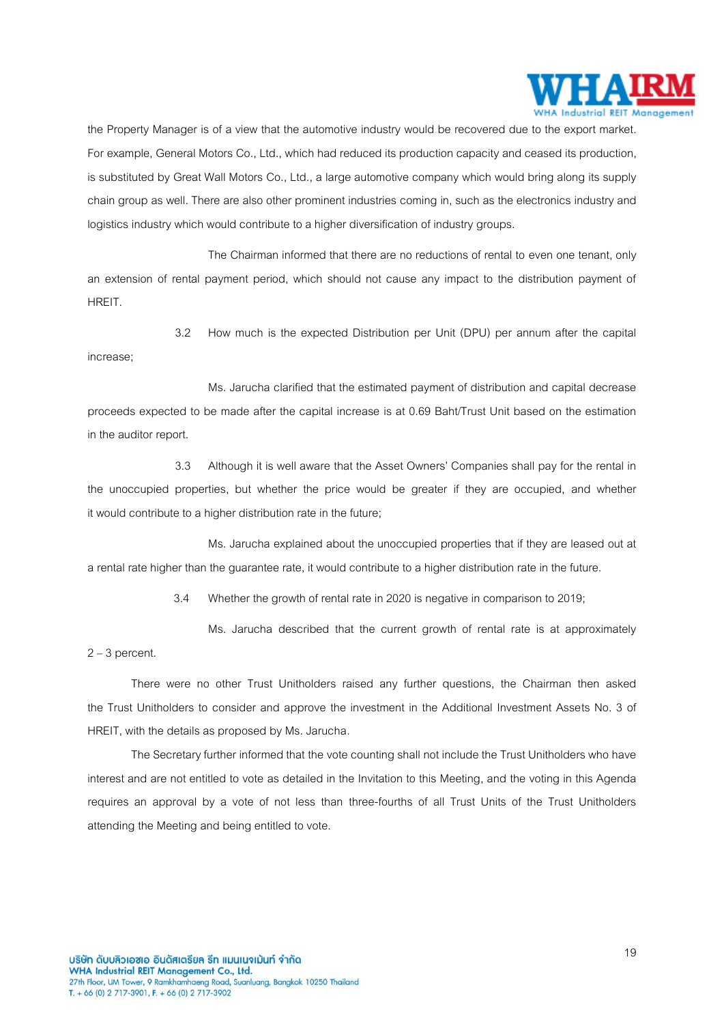

the Property Manager is of a view that the automotive industry would be recovered due to the export market. For example, General Motors Co., Ltd., which had reduced its production capacity and ceased its production, is substituted by Great Wall Motors Co., Ltd., a large automotive company which would bring along its supply chain group as well. There are also other prominent industries coming in, such as the electronics industryand logistics industry which would contribute to a higher diversification of industry groups.

The Chairman informed that there are no reductions of rental to even one tenant, only an extension of rental payment period, which should not cause any impact to the distribution payment of HREIT.

3.2 How much is the expected Distribution per Unit (DPU) per annum after the capital increase;

Ms. Jarucha clarified that the estimated payment of distribution and capital decrease proceeds expected to be made after the capital increase is at 0.69 Baht/Trust Unit based on the estimation in the auditor report.

3.3 Although it is well aware that the Asset Owners' Companies shall pay for the rental in the unoccupied properties, but whether the price would be greater if they are occupied, and whether it would contribute to a higher distribution rate in the future;

Ms. Jarucha explained about the unoccupied properties that if they are leased out at a rental rate higher than the guarantee rate, it would contribute to a higher distribution rate in the future.

3.4 Whether the growth of rental rate in 2020 is negative in comparison to 2019;

Ms. Jarucha described that the current growth of rental rate is at approximately

 $2 - 3$  percent.

There were no other Trust Unitholders raised any further questions, the Chairman then asked the Trust Unitholders to consider and approve the investment in the Additional Investment Assets No. 3 of HREIT, with the details as proposed by Ms. Jarucha.

The Secretary further informed that the vote counting shall not include the Trust Unitholders who have interest and are not entitled to vote as detailed in the Invitation to this Meeting, and the voting in this Agenda requires an approval by a vote of not less than three-fourths of all Trust Units of the Trust Unitholders attending the Meeting and being entitled to vote.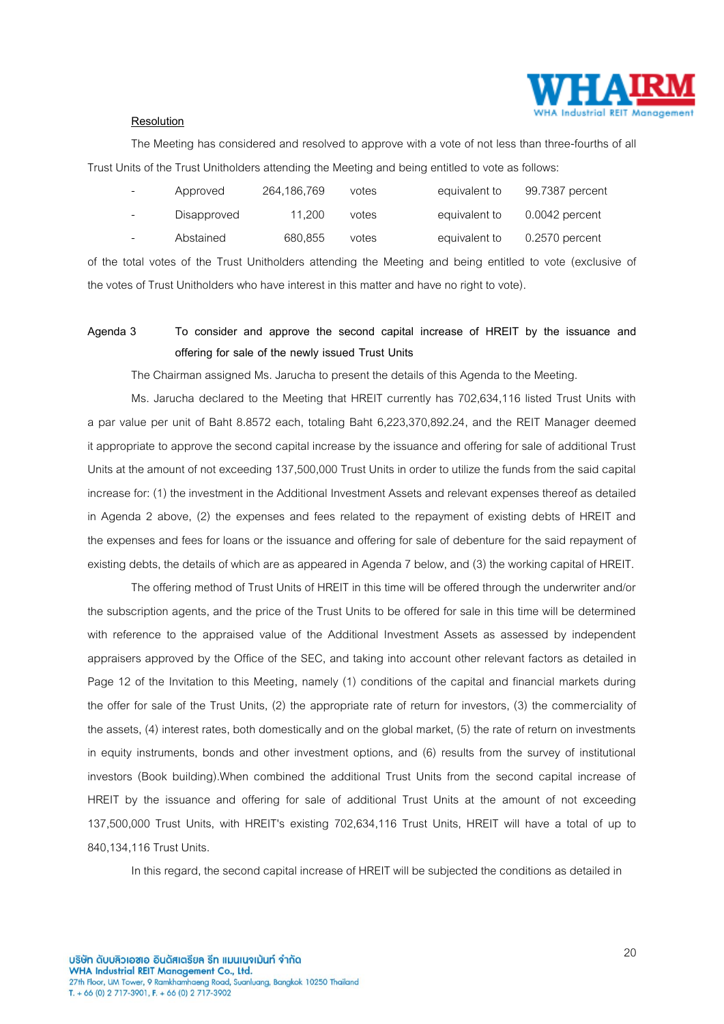

#### **Resolution**

The Meeting has considered and resolved to approve with a vote of not less than three-fourths of all Trust Units of the Trust Unitholders attending the Meeting and being entitled to vote as follows:

| $\sim$                   | Approved    | 264,186,769 | votes | equivalent to | 99.7387 percent  |
|--------------------------|-------------|-------------|-------|---------------|------------------|
| $\sim$                   | Disapproved | 11.200      | votes | equivalent to | $0.0042$ percent |
| $\overline{\phantom{a}}$ | Abstained   | 680,855     | votes | equivalent to | $0.2570$ percent |

of the total votes of the Trust Unitholders attending the Meeting and being entitled to vote (exclusive of the votes of Trust Unitholders who have interest in this matter and have no right to vote).

# **Agenda 3 To consider and approve the second capital increase of HREIT by the issuance and offering for sale of the newly issued Trust Units**

The Chairman assigned Ms. Jarucha to present the details of this Agenda to the Meeting.

Ms. Jarucha declared to the Meeting that HREIT currently has 702,634,116 listed Trust Units with a par value per unit of Baht 8.8572 each, totaling Baht 6,223,370,892.24, and the REIT Manager deemed it appropriate to approve the second capital increase by the issuance and offering for sale of additional Trust Units at the amount of not exceeding 137,500,000 Trust Units in order to utilize the funds from the said capital increase for: (1) the investment in the Additional Investment Assets and relevant expenses thereof as detailed in Agenda 2 above, (2) the expenses and fees related to the repayment of existing debts of HREIT and the expenses and fees for loans or the issuance and offering for sale of debenture for the said repayment of existing debts, the details of which are as appeared in Agenda 7 below, and (3) the working capital of HREIT.

The offering method of Trust Units of HREIT in this time will be offered through the underwriter and/or the subscription agents, and the price of the Trust Units to be offered for sale in this time will be determined with reference to the appraised value of the Additional Investment Assets as assessed by independent appraisers approved by the Office of the SEC, and taking into account other relevant factors as detailed in Page 12 of the Invitation to this Meeting, namely (1) conditions of the capital and financial markets during the offer for sale of the Trust Units, (2) the appropriate rate of return for investors, (3) the commerciality of the assets, (4) interest rates, both domestically and on the global market, (5) the rate of return on investments in equity instruments, bonds and other investment options, and (6) results from the survey of institutional investors (Book building).When combined the additional Trust Units from the second capital increase of HREIT by the issuance and offering for sale of additional Trust Units at the amount of not exceeding 137,500,000 Trust Units, with HREIT's existing 702,634,116 Trust Units, HREIT will have a total of up to 840,134,116 Trust Units.

In this regard, the second capital increase of HREIT will be subjected the conditions as detailed in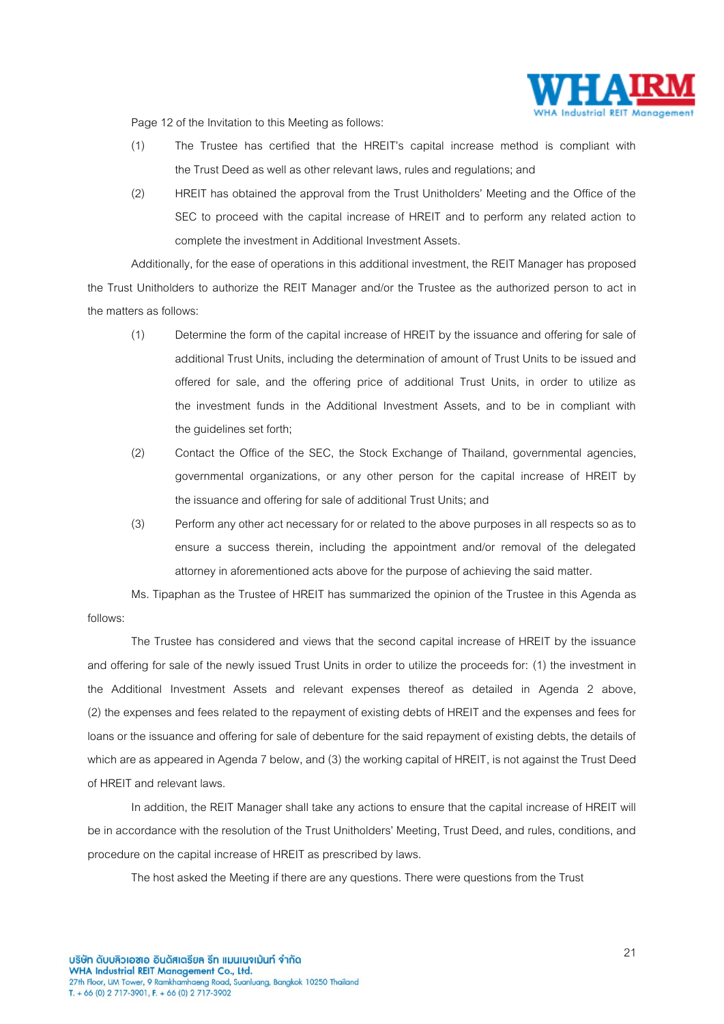

Page 12 of the Invitation to this Meeting as follows:

- (1) The Trustee has certified that the HREIT's capital increase method is compliant with the Trust Deed as well as other relevant laws, rules and regulations; and
- (2) HREIT has obtained the approval from the Trust Unitholders' Meeting and the Office of the SEC to proceed with the capital increase of HREIT and to perform any related action to complete the investment in Additional Investment Assets.

Additionally, for the ease of operations in this additional investment, the REIT Manager has proposed the Trust Unitholders to authorize the REIT Manager and/or the Trustee as the authorized person to act in the matters as follows:

- (1) Determine the form of the capital increase of HREIT by the issuance and offering for sale of additional Trust Units, including the determination of amount of Trust Units to be issued and offered for sale, and the offering price of additional Trust Units, in order to utilize as the investment funds in the Additional Investment Assets, and to be in compliant with the guidelines set forth;
- (2) Contact the Office of the SEC, the Stock Exchange of Thailand, governmental agencies, governmental organizations, or any other person for the capital increase of HREIT by the issuance and offering for sale of additional Trust Units; and
- (3) Perform any other act necessary for or related to the above purposes in all respects so as to ensure a success therein, including the appointment and/or removal of the delegated attorney in aforementioned acts above for the purpose of achieving the said matter.

Ms. Tipaphan as the Trustee of HREIT has summarized the opinion of the Trustee in this Agenda as follows:

The Trustee has considered and views that the second capital increase of HREIT by the issuance and offering for sale of the newly issued Trust Units in order to utilize the proceeds for: (1) the investment in the Additional Investment Assets and relevant expenses thereof as detailed in Agenda 2 above, (2) the expenses and fees related to the repayment of existing debts of HREIT and the expenses and fees for loans or the issuance and offering for sale of debenture for the said repayment of existing debts, the details of which are as appeared in Agenda 7 below, and (3) the working capital of HREIT, is not against the Trust Deed of HREIT and relevant laws.

In addition, the REIT Manager shall take any actions to ensure that the capital increase of HREIT will be in accordance with the resolution of the Trust Unitholders' Meeting, Trust Deed, and rules, conditions, and procedure on the capital increase of HREIT as prescribed by laws.

The host asked the Meeting if there are any questions. There were questions from the Trust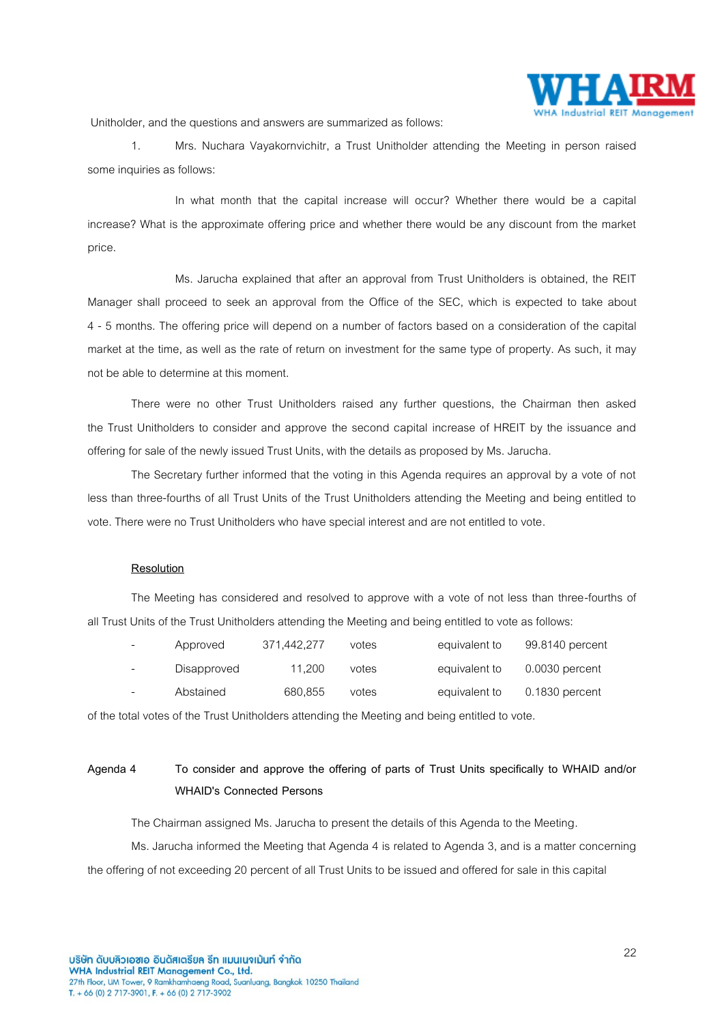

Unitholder, and the questions and answers are summarized as follows:

1. Mrs. Nuchara Vayakornvichitr, a Trust Unitholder attending the Meeting in person raised some inquiries as follows:

In what month that the capital increase will occur? Whether there would be a capital increase? What is the approximate offering price and whether there would be any discount from the market price.

Ms. Jarucha explained that after an approval from Trust Unitholders is obtained, the REIT Manager shall proceed to seek an approval from the Office of the SEC, which is expected to take about 4 - 5 months. The offering price will depend on a number of factors based on a consideration of the capital market at the time, as well as the rate of return on investment for the same type of property. As such, it may not be able to determine at this moment.

There were no other Trust Unitholders raised any further questions, the Chairman then asked the Trust Unitholders to consider and approve the second capital increase of HREIT by the issuance and offering for sale of the newly issued Trust Units, with the details as proposed by Ms. Jarucha.

The Secretary further informed that the voting in this Agenda requires an approval by a vote of not less than three-fourths of all Trust Units of the Trust Unitholders attending the Meeting and being entitled to vote. There were no Trust Unitholders who have special interest and are not entitled to vote.

## **Resolution**

The Meeting has considered and resolved to approve with a vote of not less than three-fourths of all Trust Units of the Trust Unitholders attending the Meeting and being entitled to vote as follows:

| $\overline{\phantom{a}}$ | Approved    | 371.442.277 | votes | equivalent to | 99.8140 percent  |
|--------------------------|-------------|-------------|-------|---------------|------------------|
| $\overline{\phantom{a}}$ | Disapproved | 11.200      | votes | equivalent to | $0.0030$ percent |
| $\overline{\phantom{a}}$ | Abstained   | 680,855     | votes | equivalent to | $0.1830$ percent |

of the total votes of the Trust Unitholders attending the Meeting and being entitled to vote.

# **Agenda 4 To consider and approve the offering of parts of Trust Units specifically to WHAID and/or WHAID's Connected Persons**

The Chairman assigned Ms. Jarucha to present the details of this Agenda to the Meeting.

Ms. Jarucha informed the Meeting that Agenda 4 is related to Agenda 3, and is a matter concerning the offering of not exceeding 20 percent of all Trust Units to be issued and offered for sale in this capital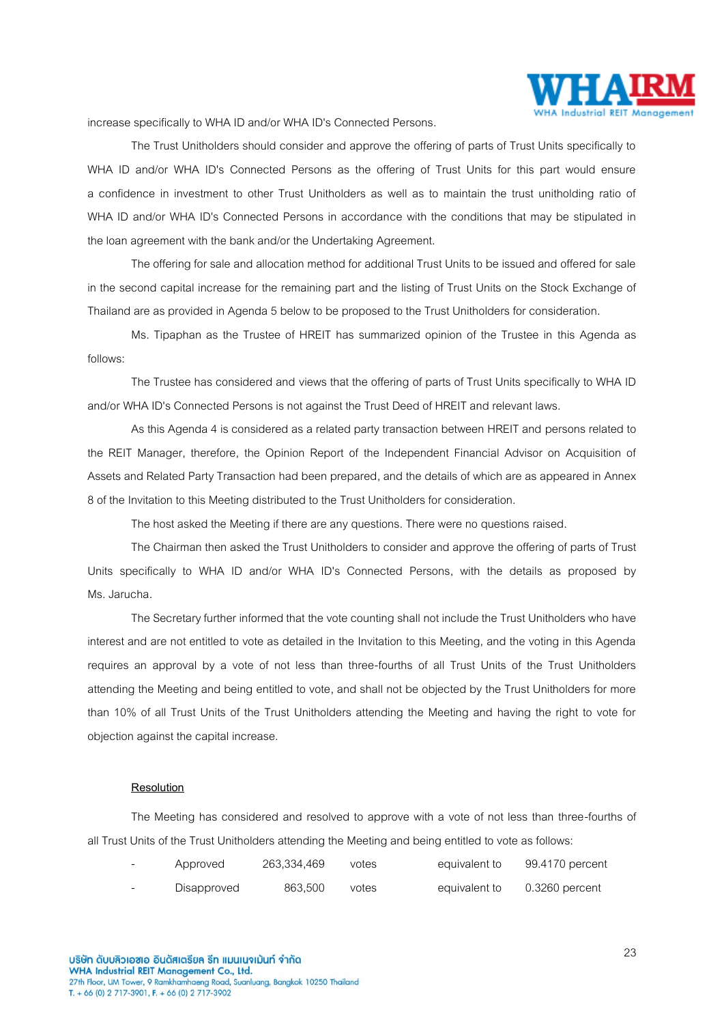

increase specifically to WHA ID and/or WHA ID's Connected Persons.

The Trust Unitholders should consider and approve the offering of parts of Trust Units specifically to WHA ID and/or WHA ID's Connected Persons as the offering of Trust Units for this part would ensure a confidence in investment to other Trust Unitholders as well as to maintain the trust unitholding ratio of WHA ID and/or WHA ID's Connected Persons in accordance with the conditions that may be stipulated in the loan agreement with the bank and/or the Undertaking Agreement.

The offering for sale and allocation method for additional Trust Units to be issued and offered for sale in the second capital increase for the remaining part and the listing of Trust Units on the Stock Exchange of Thailand are as provided in Agenda 5 below to be proposed to the Trust Unitholders for consideration.

Ms. Tipaphan as the Trustee of HREIT has summarized opinion of the Trustee in this Agenda as follows:

The Trustee has considered and views that the offering of parts of Trust Units specifically to WHA ID and/or WHA ID's Connected Persons is not against the Trust Deed of HREIT and relevant laws.

As this Agenda 4 is considered as a related party transaction between HREIT and persons related to the REIT Manager, therefore, the Opinion Report of the Independent Financial Advisor on Acquisition of Assets and Related Party Transaction had been prepared, and the details of which are as appeared in Annex 8 of the Invitation to this Meeting distributed to the Trust Unitholders for consideration.

The host asked the Meeting if there are any questions. There were no questions raised.

The Chairman then asked the Trust Unitholders to consider and approve the offering of parts of Trust Units specifically to WHA ID and/or WHA ID's Connected Persons, with the details as proposed by Ms. Jarucha.

The Secretary further informed that the vote counting shall not include the Trust Unitholders who have interest and are not entitled to vote as detailed in the Invitation to this Meeting, and the voting in this Agenda requires an approval by a vote of not less than three-fourths of all Trust Units of the Trust Unitholders attending the Meeting and being entitled to vote, and shall not be objected by the Trust Unitholders for more than 10% of all Trust Units of the Trust Unitholders attending the Meeting and having the right to vote for objection against the capital increase.

#### **Resolution**

The Meeting has considered and resolved to approve with a vote of not less than three-fourths of all Trust Units of the Trust Unitholders attending the Meeting and being entitled to vote as follows:

| Approved    | 263,334,469 | votes | equivalent to | 99.4170 percent  |
|-------------|-------------|-------|---------------|------------------|
| Disapproved | 863.500     | votes | equivalent to | $0.3260$ percent |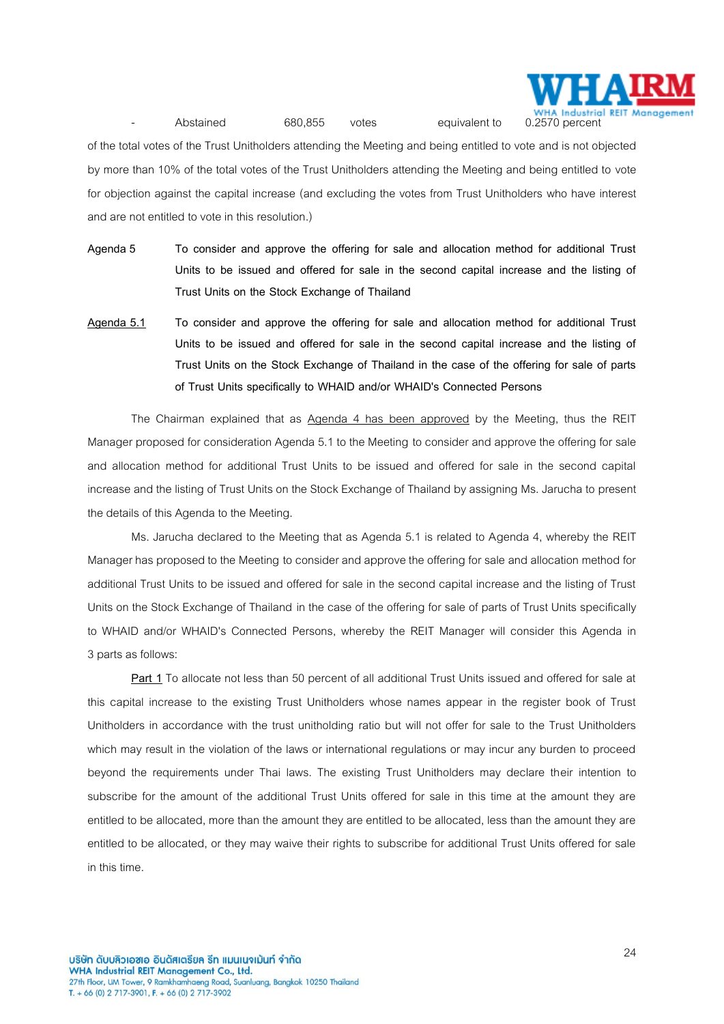

of the total votes of the Trust Unitholders attending the Meeting and being entitled to vote and is not objected by more than 10% of the total votes of the Trust Unitholders attending the Meeting and being entitled to vote for objection against the capital increase (and excluding the votes from Trust Unitholders who have interest and are not entitled to vote in this resolution.)

- **Agenda 5 To consider and approve the offering for sale and allocation method for additional Trust Units to be issued and offered for sale in the second capital increase and the listing of Trust Units on the Stock Exchange of Thailand**
- **Agenda 5.1 To consider and approve the offering for sale and allocation method for additional Trust Units to be issued and offered for sale in the second capital increase and the listing of Trust Units on the Stock Exchange of Thailand in the case of the offering for sale of parts of Trust Units specifically to WHAID and/or WHAID's Connected Persons**

The Chairman explained that as Agenda 4 has been approved by the Meeting, thus the REIT Manager proposed for consideration Agenda 5.1 to the Meeting to consider and approve the offering for sale and allocation method for additional Trust Units to be issued and offered for sale in the second capital increase and the listing of Trust Units on the Stock Exchange of Thailand by assigning Ms. Jarucha to present the details of this Agenda to the Meeting.

Ms. Jarucha declared to the Meeting that as Agenda 5.1 is related to Agenda 4, whereby the REIT Manager has proposed to the Meeting to consider and approve the offering for sale and allocation method for additional Trust Units to be issued and offered for sale in the second capital increase and the listing of Trust Units on the Stock Exchange of Thailand in the case of the offering for sale of parts of Trust Units specifically to WHAID and/or WHAID's Connected Persons, whereby the REIT Manager will consider this Agenda in 3 parts as follows:

**Part 1** To allocate not less than 50 percent of all additional Trust Units issued and offered for sale at this capital increase to the existing Trust Unitholders whose names appear in the register book of Trust Unitholders in accordance with the trust unitholding ratio but will not offer for sale to the Trust Unitholders which may result in the violation of the laws or international regulations or may incur any burden to proceed beyond the requirements under Thai laws. The existing Trust Unitholders may declare their intention to subscribe for the amount of the additional Trust Units offered for sale in this time at the amount they are entitled to be allocated, more than the amount they are entitled to be allocated, less than the amount they are entitled to be allocated, or they may waive their rights to subscribe for additional Trust Units offered for sale in this time.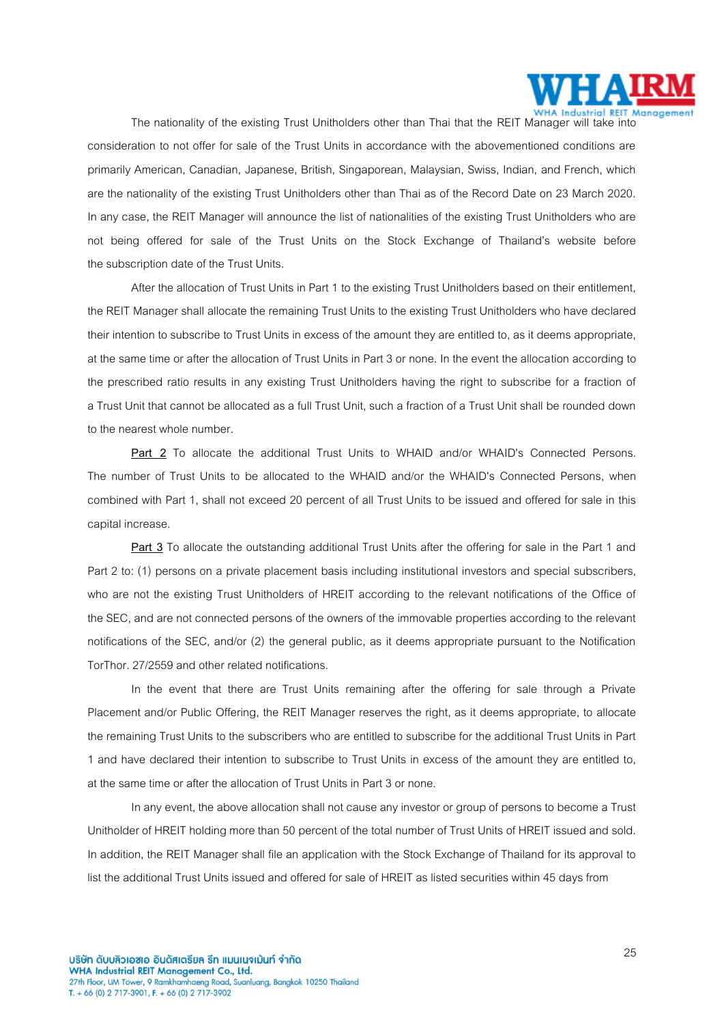

The nationality of the existing Trust Unitholders other than Thai that the REIT Manager will take into consideration to not offer for sale of the Trust Units in accordance with the abovementioned conditions are primarily American, Canadian, Japanese, British, Singaporean, Malaysian, Swiss, Indian, and French, which are the nationality of the existing Trust Unitholders other than Thai as of the Record Date on 23 March 2020. In any case, the REIT Manager will announce the list of nationalities of the existing Trust Unitholders who are not being offered for sale of the Trust Units on the Stock Exchange of Thailand's website before the subscription date of the Trust Units.

After the allocation of Trust Units in Part 1 to the existing Trust Unitholders based on their entitlement, the REIT Manager shall allocate the remaining Trust Units to the existing Trust Unitholders who have declared their intention to subscribe to Trust Units in excess of the amount they are entitled to, as it deems appropriate, at the same time or after the allocation of Trust Units in Part 3 or none. In the event the allocation according to the prescribed ratio results in any existing Trust Unitholders having the right to subscribe for a fraction of a Trust Unit that cannot be allocated as a full Trust Unit, such a fraction of a Trust Unit shall be rounded down to the nearest whole number.

**Part 2** To allocate the additional Trust Units to WHAID and/or WHAID's Connected Persons. The number of Trust Units to be allocated to the WHAID and/or the WHAID's Connected Persons, when combined with Part 1, shall not exceed 20 percent of all Trust Units to be issued and offered for sale in this capital increase.

**Part 3** To allocate the outstanding additional Trust Units after the offering for sale in the Part 1 and Part 2 to: (1) persons on a private placement basis including institutional investors and special subscribers, who are not the existing Trust Unitholders of HREIT according to the relevant notifications of the Office of the SEC, and are not connected persons of the owners of the immovable properties according to the relevant notifications of the SEC, and/or (2) the general public, as it deems appropriate pursuant to the Notification TorThor. 27/2559 and other related notifications.

In the event that there are Trust Units remaining after the offering for sale through a Private Placement and/or Public Offering, the REIT Manager reserves the right, as it deems appropriate, to allocate the remaining Trust Units to the subscribers who are entitled to subscribe for the additional Trust Units in Part 1 and have declared their intention to subscribe to Trust Units in excess of the amount they are entitled to, at the same time or after the allocation of Trust Units in Part 3 or none.

In any event, the above allocation shall not cause any investor or group of persons to become a Trust Unitholder of HREIT holding more than 50 percent of the total number of Trust Units of HREIT issued and sold. In addition, the REIT Manager shall file an application with the Stock Exchange of Thailand for its approval to list the additional Trust Units issued and offered for sale of HREIT as listed securities within 45 days from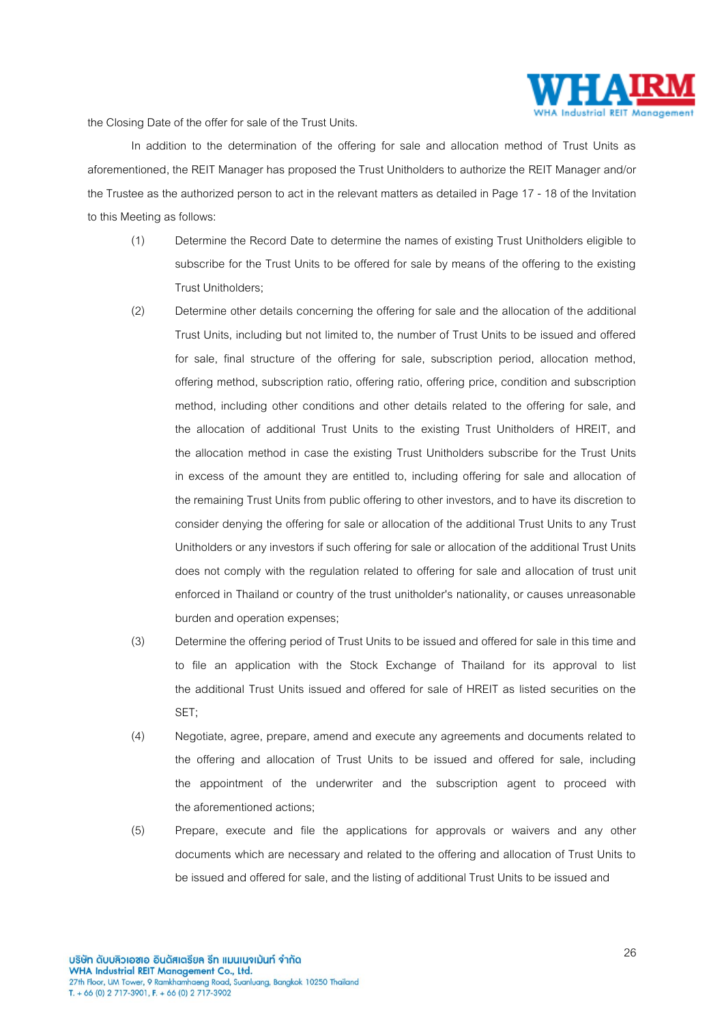

the Closing Date of the offer for sale of the Trust Units.

In addition to the determination of the offering for sale and allocation method of Trust Units as aforementioned, the REIT Manager has proposed the Trust Unitholders to authorize the REIT Manager and/or the Trustee as the authorized person to act in the relevant matters as detailed in Page 17 - 18 of the Invitation to this Meeting as follows:

- (1) Determine the Record Date to determine the names of existing Trust Unitholders eligible to subscribe for the Trust Units to be offered for sale by means of the offering to the existing Trust Unitholders;
- (2) Determine other details concerning the offering for sale and the allocation of the additional Trust Units, including but not limited to, the number of Trust Units to be issued and offered for sale, final structure of the offering for sale, subscription period, allocation method, offering method, subscription ratio, offering ratio, offering price, condition and subscription method, including other conditions and other details related to the offering for sale, and the allocation of additional Trust Units to the existing Trust Unitholders of HREIT, and the allocation method in case the existing Trust Unitholders subscribe for the Trust Units in excess of the amount they are entitled to, including offering for sale and allocation of the remaining Trust Units from public offering to other investors, and to have its discretion to consider denying the offering for sale or allocation of the additional Trust Units to any Trust Unitholders or any investors if such offering for sale or allocation of the additional Trust Units does not comply with the regulation related to offering for sale and allocation of trust unit enforced in Thailand or country of the trust unitholder's nationality, or causes unreasonable burden and operation expenses;
- (3) Determine the offering period of Trust Units to be issued and offered for sale in this time and to file an application with the Stock Exchange of Thailand for its approval to list the additional Trust Units issued and offered for sale of HREIT as listed securities on the SET;
- (4) Negotiate, agree, prepare, amend and execute any agreements and documents related to the offering and allocation of Trust Units to be issued and offered for sale, including the appointment of the underwriter and the subscription agent to proceed with the aforementioned actions;
- (5) Prepare, execute and file the applications for approvals or waivers and any other documents which are necessary and related to the offering and allocation of Trust Units to be issued and offered for sale, and the listing of additional Trust Units to be issued and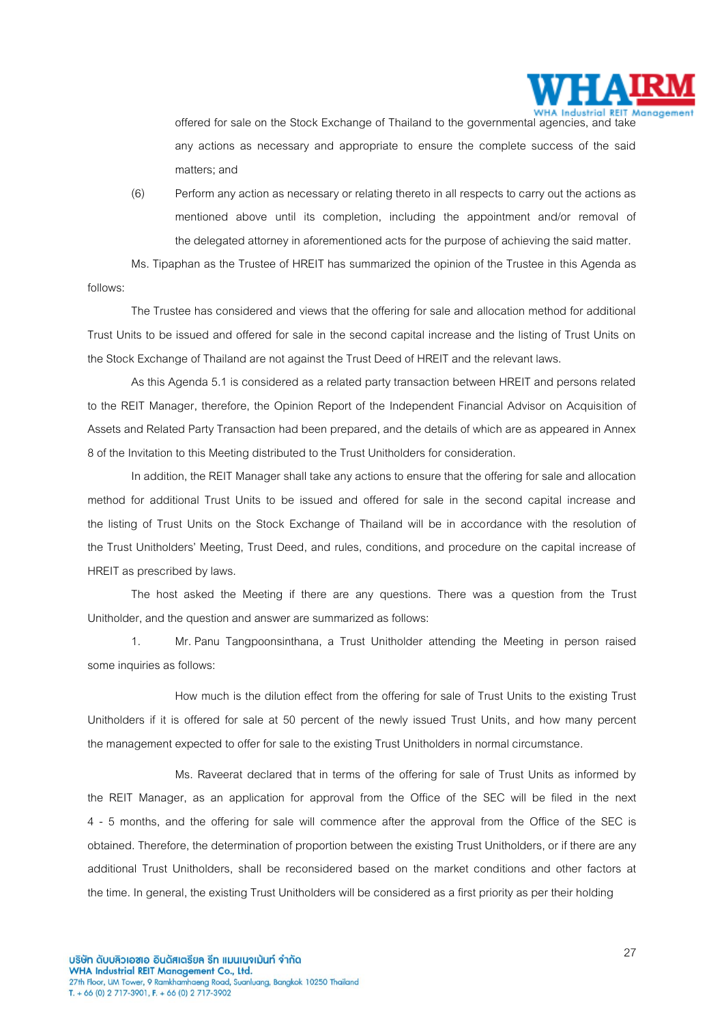

offered for sale on the Stock Exchange of Thailand to the governmental agencies, and take any actions as necessary and appropriate to ensure the complete success of the said matters; and

(6) Perform any action as necessary or relating thereto in all respects to carry out the actions as mentioned above until its completion, including the appointment and/or removal of the delegated attorney in aforementioned acts for the purpose of achieving the said matter.

Ms. Tipaphan as the Trustee of HREIT has summarized the opinion of the Trustee in this Agenda as follows:

The Trustee has considered and views that the offering for sale and allocation method for additional Trust Units to be issued and offered for sale in the second capital increase and the listing of Trust Units on the Stock Exchange of Thailand are not against the Trust Deed of HREIT and the relevant laws.

As this Agenda 5.1 is considered as a related party transaction between HREIT and persons related to the REIT Manager, therefore, the Opinion Report of the Independent Financial Advisor on Acquisition of Assets and Related Party Transaction had been prepared, and the details of which are as appeared in Annex 8 of the Invitation to this Meeting distributed to the Trust Unitholders for consideration.

In addition, the REIT Manager shall take any actions to ensure that the offering for sale and allocation method for additional Trust Units to be issued and offered for sale in the second capital increase and the listing of Trust Units on the Stock Exchange of Thailand will be in accordance with the resolution of the Trust Unitholders' Meeting, Trust Deed, and rules, conditions, and procedure on the capital increase of HREIT as prescribed by laws.

The host asked the Meeting if there are any questions. There was a question from the Trust Unitholder, and the question and answer are summarized as follows:

1. Mr. Panu Tangpoonsinthana, a Trust Unitholder attending the Meeting in person raised some inquiries as follows:

How much is the dilution effect from the offering for sale of Trust Units to the existing Trust Unitholders if it is offered for sale at 50 percent of the newly issued Trust Units, and how many percent the management expected tooffer for sale to the existing Trust Unitholders in normal circumstance.

Ms. Raveerat declared that in terms of the offering for sale of Trust Units as informed by the REIT Manager, as an application for approval from the Office of the SEC will be filed in the next 4 - 5 months, and the offering for sale will commence after the approval from the Office of the SEC is obtained.Therefore, the determination of proportion between the existing Trust Unitholders,or if there are any additional Trust Unitholders, shall be reconsidered based on the market conditions and other factors at the time. In general, the existing Trust Unitholders will be considered as a first priority as per their holding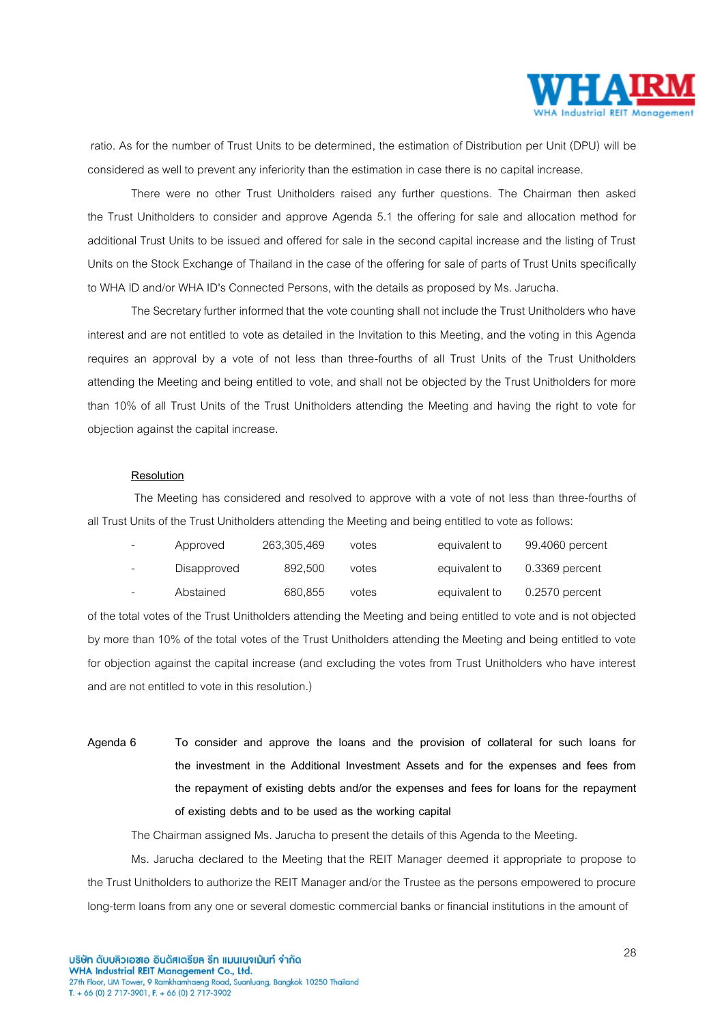

ratio. As for the number of Trust Units to be determined, the estimation of Distribution per Unit (DPU) will be considered as well to prevent any inferiority than the estimation in case there is no capital increase.

There were no other Trust Unitholders raised any further questions. The Chairman then asked the Trust Unitholders to consider and approve Agenda 5.1 the offering for sale and allocation method for additional Trust Units to be issued and offered for sale in the second capital increase and the listing of Trust Units on the Stock Exchange of Thailand in the case of the offering for sale of parts of Trust Units specifically to WHA ID and/or WHA ID's Connected Persons, with the details as proposed by Ms. Jarucha.

The Secretary further informed that the vote counting shall not include the Trust Unitholders who have interest and are not entitled to vote as detailed in the Invitation to this Meeting, and the voting in this Agenda requires an approval by a vote of not less than three-fourths of all Trust Units of the Trust Unitholders attending the Meeting and being entitled to vote, and shall not be objected by the Trust Unitholders for more than 10% of all Trust Units of the Trust Unitholders attending the Meeting and having the right to vote for objection against the capital increase.

## **Resolution**

The Meeting has considered and resolved to approve with a vote of not less than three-fourths of all Trust Units of the Trust Unitholders attending the Meeting and being entitled to vote as follows:

| $\overline{\phantom{0}}$ | Approved    | 263,305,469 | votes | equivalent to | 99.4060 percent  |
|--------------------------|-------------|-------------|-------|---------------|------------------|
|                          | Disapproved | 892.500     | votes | equivalent to | $0.3369$ percent |
|                          | Abstained   | 680.855     | votes | equivalent to | $0.2570$ percent |

of the total votes of the Trust Unitholders attending the Meeting and being entitled to vote and is not objected by more than 10% of the total votes of the Trust Unitholders attending the Meeting and being entitled to vote for objection against the capital increase (and excluding the votes from Trust Unitholders who have interest and are not entitled to vote in this resolution.)

**Agenda 6 To consider and approve the loans and the provision of collateral for such loans for the investment in the Additional Investment Assets and for the expenses and fees from the repayment of existing debts and/or the expenses and fees for loans for the repayment of existing debts and to be used as the working capital**

The Chairman assigned Ms. Jarucha to present the details of this Agenda to the Meeting.

Ms. Jarucha declared to the Meeting that the REIT Manager deemed it appropriate to propose to the Trust Unitholders to authorize the REIT Manager and/or the Trustee as the persons empowered to procure long-term loans from any one or several domestic commercial banks or financial institutions in the amount of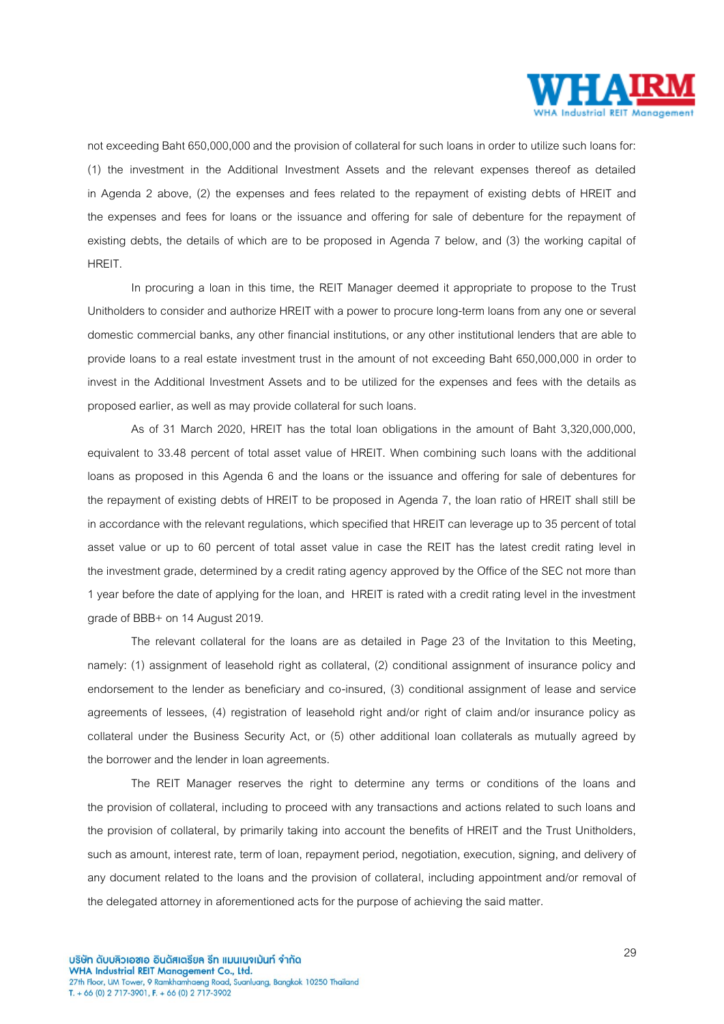

not exceeding Baht 650,000,000 and the provision of collateral for such loans in order to utilize such loans for: (1) the investment in the Additional Investment Assets and the relevant expenses thereof as detailed in Agenda 2 above, (2) the expenses and fees related to the repayment of existing debts of HREIT and the expenses and fees for loans or the issuance and offering for sale of debenture for the repayment of existing debts, the details of which are to be proposed in Agenda 7 below, and (3) the working capital of HREIT.

In procuring a loan in this time, the REIT Manager deemed it appropriate to propose to the Trust Unitholders to consider and authorize HREIT with a power to procure long-term loans from any one or several domestic commercial banks, any other financial institutions, or any other institutional lenders that are able to provide loans to a real estate investment trust in the amount of not exceeding Baht 650,000,000 in order to invest in the Additional Investment Assets and to be utilized for the expenses and fees with the details as proposed earlier, as well as may provide collateral for such loans.

As of 31 March 2020, HREIT has the total loan obligations in the amount of Baht 3,320,000,000, equivalent to 33.48 percent of total asset value of HREIT. When combining such loans with the additional loans as proposed in this Agenda 6 and the loans or the issuance and offering for sale of debentures for the repayment of existing debts of HREIT to be proposed in Agenda 7, the loan ratio of HREIT shall still be in accordance with the relevant regulations, which specified that HREIT can leverage up to 35 percent of total asset value or up to 60 percent of total asset value in case the REIT has the latest credit rating level in the investment grade, determined by a credit rating agency approved by the Office of the SEC not more than 1 year before the date of applying for the loan, and HREIT is rated with a credit rating level in the investment grade of BBB+ on 14 August 2019.

The relevant collateral for the loans are as detailed in Page 23 of the Invitation to this Meeting, namely: (1) assignment of leasehold right as collateral, (2) conditional assignment of insurance policy and endorsement to the lender as beneficiary and co-insured, (3) conditional assignment of lease and service agreements of lessees, (4) registration of leasehold right and/or right of claim and/or insurance policy as collateral under the Business Security Act, or (5) other additional loan collaterals as mutually agreed by the borrower and the lender in loan agreements.

The REIT Manager reserves the right to determine any terms or conditions of the loans and the provision of collateral, including to proceed with any transactions and actions related to such loans and the provision of collateral, by primarily taking into account the benefits of HREIT and the Trust Unitholders, such as amount, interest rate, term of loan, repayment period, negotiation, execution, signing, and delivery of any document related to the loans and the provision of collateral, including appointment and/or removal of the delegated attorney in aforementioned acts for the purpose of achieving the said matter.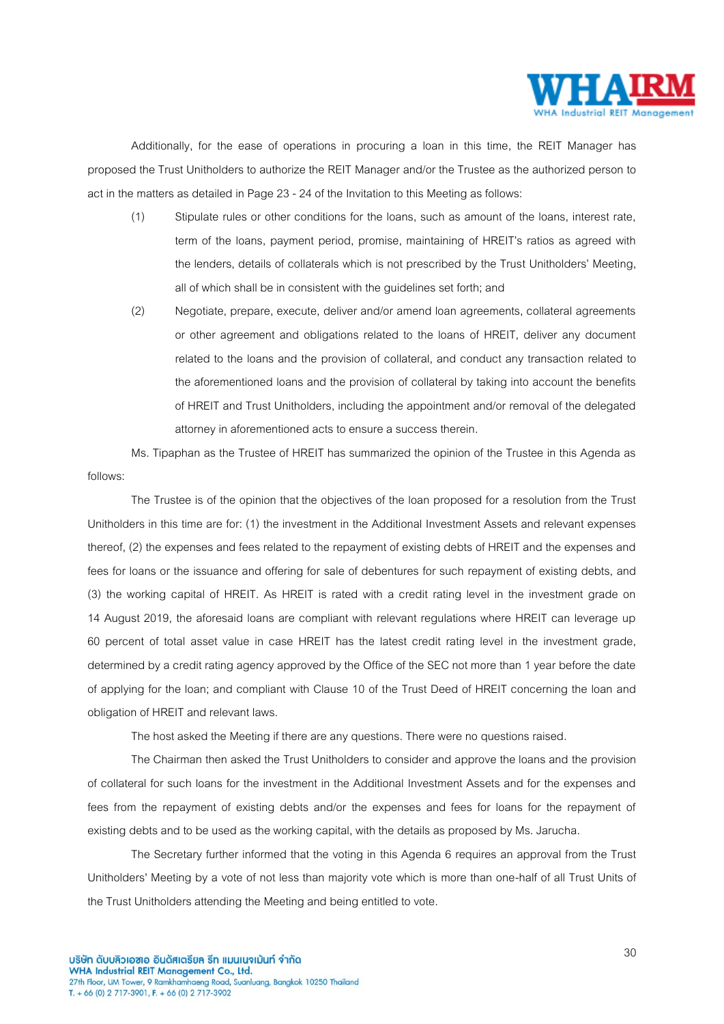

Additionally, for the ease of operations in procuring a loan in this time, the REIT Manager has proposed the Trust Unitholders to authorize the REIT Manager and/or the Trustee as the authorized person to act in the matters as detailed in Page 23 - 24 of the Invitation to this Meeting as follows:

- (1) Stipulate rules or other conditions for the loans, such as amount of the loans, interest rate, term of the loans, payment period, promise, maintaining of HREIT's ratios as agreed with the lenders, details of collaterals which is not prescribed by the Trust Unitholders' Meeting, all of which shall be in consistent with the guidelines set forth; and
- (2) Negotiate, prepare, execute, deliver and/or amend loan agreements, collateral agreements or other agreement and obligations related to the loans of HREIT, deliver any document related to the loans and the provision of collateral, and conduct any transaction related to the aforementioned loans and the provision of collateral by taking into account the benefits of HREIT and Trust Unitholders, including the appointment and/or removal of the delegated attorney in aforementioned acts to ensure a success therein.

Ms. Tipaphan as the Trustee of HREIT has summarized the opinion of the Trustee in this Agenda as follows:

The Trustee is of the opinion that the objectives of the loan proposed for a resolution from the Trust Unitholders in this time are for: (1) the investment in the Additional Investment Assets and relevant expenses thereof, (2) the expenses and fees related to the repayment of existing debts of HREIT and the expenses and fees for loans or the issuance and offering for sale of debentures for such repayment of existing debts, and (3) the working capital of HREIT. As HREIT is rated with a credit rating level in the investment grade on 14 August 2019, the aforesaid loans are compliant with relevant regulations where HREIT can leverage up 60 percent of total asset value in case HREIT has the latest credit rating level in the investment grade, determined by a credit rating agency approved by the Office of the SEC not more than 1 year before the date of applying for the loan; and compliant with Clause 10 of the Trust Deed of HREIT concerning the loan and obligation of HREIT and relevant laws.

The host asked the Meeting if there are any questions. There were no questions raised.

The Chairman then asked the Trust Unitholders to consider and approve the loans and the provision of collateral for such loans for the investment in the Additional Investment Assets and for the expenses and fees from the repayment of existing debts and/or the expenses and fees for loans for the repayment of existing debts and to be used as the working capital, with the details as proposed by Ms. Jarucha.

The Secretary further informed that the voting in this Agenda 6 requires an approval from the Trust Unitholders' Meeting by a vote of not less than majority vote which is more than one-half of all Trust Units of the Trust Unitholders attending the Meeting and being entitled to vote.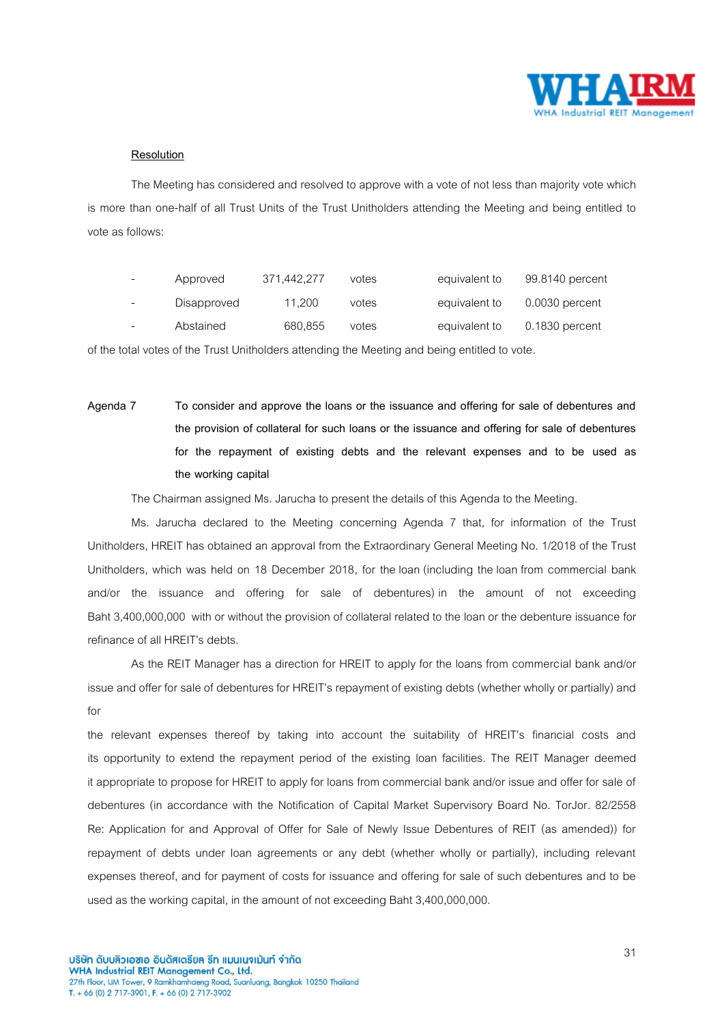

### **Resolution**

The Meeting has considered and resolved to approve with a vote of not less than majority vote which is more than one-half of all Trust Units of the Trust Unitholders attending the Meeting and being entitled to vote as follows:

|   | Approved    | 371.442.277 | votes | equivalent to | 99.8140 percent  |
|---|-------------|-------------|-------|---------------|------------------|
|   | Disapproved | 11.200      | votes | equivalent to | $0.0030$ percent |
| - | Abstained   | 680,855     | votes | equivalent to | $0.1830$ percent |

of the total votes of the Trust Unitholders attending the Meeting and being entitled to vote.

**Agenda 7 To consider and approve the loans or the issuance and offering for sale of debentures and the provision of collateral for such loans or the issuance and offering for sale of debentures for the repayment of existing debts and the relevant expenses and to be used as the working capital**

The Chairman assigned Ms. Jarucha to present the details of this Agenda to the Meeting.

Ms. Jarucha declared to the Meeting concerning Agenda 7 that, for information of the Trust Unitholders, HREIT has obtained an approval from the Extraordinary General Meeting No. 1/2018 of the Trust Unitholders, which was held on 18 December 2018, for theloan (including the loan from commercial bank and/or the issuance and offering for sale of debentures) in the amount of not exceeding Baht3,400,000,000 with or without the provision of collateral related to the loan or the debenture issuance for refinance of all HREIT's debts.

As the REIT Manager has a direction for HREIT to apply for the loans from commercial bank and/or issue and offer for sale of debentures for HREIT's repayment of existing debts (whether wholly or partially) and for

the relevant expenses thereof by taking into account the suitability of HREIT's financial costs and its opportunity to extend the repayment period of the existing loan facilities. The REIT Manager deemed it appropriate to propose for HREIT to apply for loans from commercial bank and/or issue and offer for sale of debentures (in accordance with the Notification of Capital Market Supervisory Board No. TorJor. 82/2558 Re: Application for and Approval of Offer for Sale of Newly Issue Debentures of REIT (as amended)) for repayment of debts under loan agreements or any debt (whether wholly or partially), including relevant expenses thereof, and for payment of costs for issuance and offering for sale of such debentures and to be used as the working capital, in the amount of not exceeding Baht 3,400,000,000.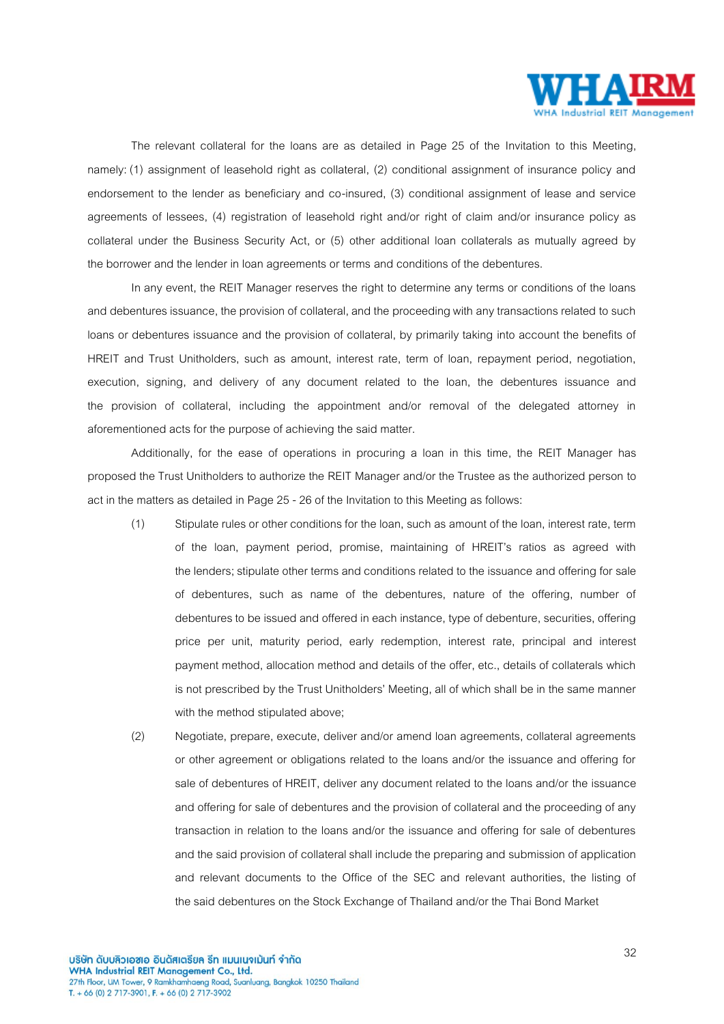

The relevant collateral for the loans are as detailed in Page 25 of the Invitation to this Meeting, namely: (1) assignment of leasehold right as collateral, (2) conditional assignment of insurance policy and endorsement to the lender as beneficiary and co-insured, (3) conditional assignment of lease and service agreements of lessees, (4) registration of leasehold right and/or right of claim and/or insurance policy as collateral under the Business Security Act, or (5) other additional loan collaterals as mutually agreed by the borrower and the lender in loan agreements or terms and conditions of the debentures.

In any event, the REIT Manager reserves the right to determine any terms or conditions of the loans and debentures issuance, the provision of collateral, and the proceeding with any transactions related to such loans or debentures issuance and the provision of collateral, by primarily taking into account the benefits of HREIT and Trust Unitholders, such as amount, interest rate, term of loan, repayment period, negotiation, execution, signing, and delivery of any document related to the loan, the debentures issuance and the provision of collateral, including the appointment and/or removal of the delegated attorney in aforementioned acts for the purpose of achieving the said matter.

Additionally, for the ease of operations in procuring a loan in this time, the REIT Manager has proposed the Trust Unitholders to authorize the REIT Manager and/or the Trustee as the authorized person to act in the matters as detailed in Page 25 - 26 of the Invitation to this Meeting as follows:

- (1) Stipulate rules or other conditions for the loan, such as amount of the loan, interest rate, term of the loan, payment period, promise, maintaining of HREIT's ratios as agreed with the lenders; stipulate other terms and conditions related to the issuance and offering for sale of debentures, such as name of the debentures, nature of the offering, number of debentures to be issued and offered in each instance, type of debenture, securities, offering price per unit, maturity period, early redemption, interest rate, principal and interest payment method, allocation method and details of the offer, etc., details of collaterals which is not prescribed by the Trust Unitholders' Meeting, all of which shall be in the same manner with the method stipulated above;
- (2) Negotiate, prepare, execute, deliver and/or amend loan agreements, collateral agreements or other agreement or obligations related to the loans and/or the issuance and offering for sale of debentures of HREIT, deliver any document related to the loans and/or the issuance and offering for sale of debentures and the provision of collateral and the proceeding of any transaction in relation to the loans and/or the issuance and offering for sale of debentures and the said provision of collateral shall include the preparing and submission of application and relevant documents to the Office of the SEC and relevant authorities, the listing of the said debentures on the Stock Exchange of Thailand and/or the Thai Bond Market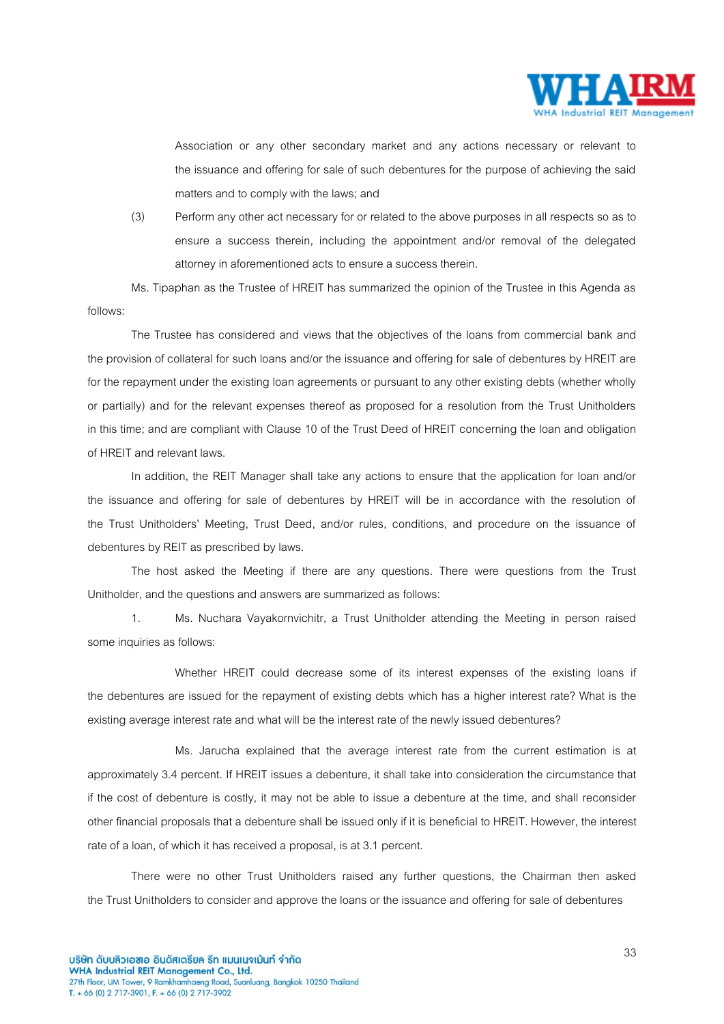

Association or any other secondary market and any actions necessary or relevant to the issuance and offering for sale of such debentures for the purpose of achieving the said matters and to comply with the laws; and

(3) Perform any other act necessary for or related to the above purposes in all respects so as to ensure a success therein, including the appointment and/or removal of the delegated attorney in aforementioned acts to ensure a success therein.

Ms. Tipaphan as the Trustee of HREIT has summarized the opinion of the Trustee in this Agenda as follows:

The Trustee has considered and views that the objectives of the loans from commercial bank and the provision of collateral for such loans and/or the issuance and offering for sale of debentures by HREIT are for the repayment under the existing loan agreements or pursuant to any other existing debts (whether wholly or partially) and for the relevant expenses thereof as proposed for a resolution from the Trust Unitholders in this time; and are compliant with Clause 10 of the Trust Deed of HREIT concerning the loan and obligation of HREIT and relevant laws.

In addition, the REIT Manager shall take any actions to ensure that the application for loan and/or the issuance and offering for sale of debentures by HREIT will be in accordance with the resolution of the Trust Unitholders' Meeting, Trust Deed, and/or rules, conditions, and procedure on the issuance of debentures by REIT as prescribed by laws.

The host asked the Meeting if there are any questions. There were questions from the Trust Unitholder, and the questions and answers are summarized as follows:

1. Ms. Nuchara Vayakornvichitr, a Trust Unitholder attending the Meeting in person raised some inquiries as follows:

Whether HREIT could decrease some of its interest expenses of the existing loans if the debentures are issued for the repayment of existing debts which has a higher interest rate? What is the existing average interest rate and what will be the interest rate of the newly issued debentures?

Ms. Jarucha explained that the average interest rate from the current estimation is at approximately 3.4 percent. If HREIT issues a debenture, it shall take into consideration the circumstance that if the cost of debenture is costly, it may not be able to issue a debenture at the time, and shall reconsider other financial proposals that a debenture shall be issued only if it is beneficial to HREIT. However, the interest rate of a loan, of which it has received a proposal, is at 3.1 percent.

There were no other Trust Unitholders raised any further questions, the Chairman then asked the Trust Unitholders to consider and approve the loans or the issuance and offering for sale of debentures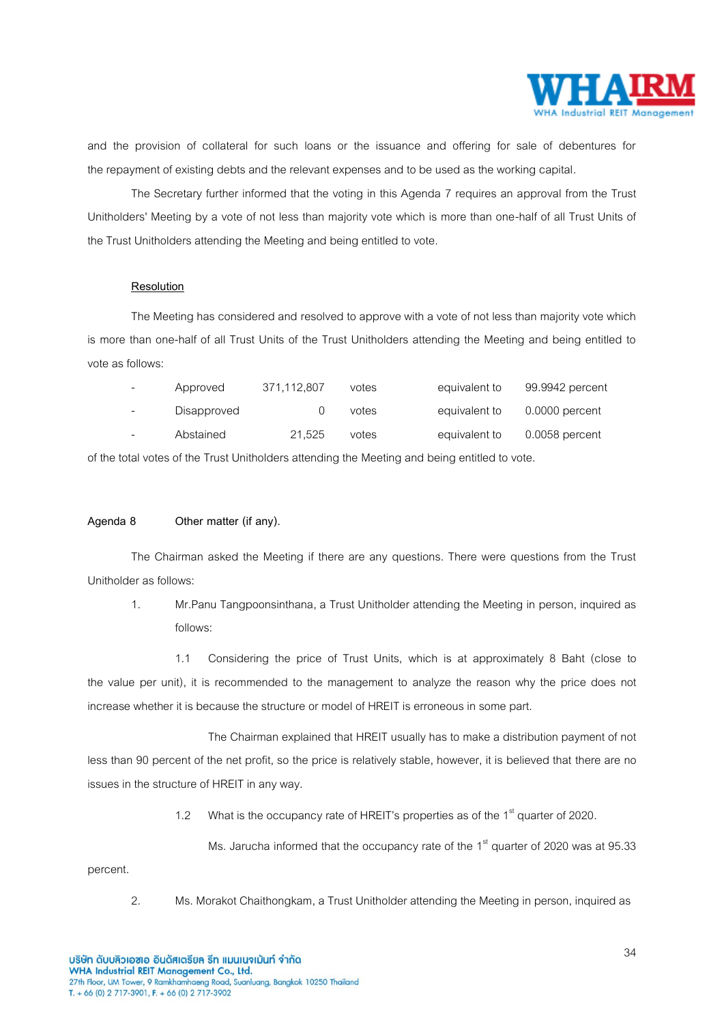

and the provision of collateral for such loans or the issuance and offering for sale of debentures for the repayment of existing debts and the relevant expenses and to be used as the working capital.

The Secretary further informed that the voting in this Agenda 7 requires an approval from the Trust Unitholders' Meeting by a vote of not less than majority vote which is more than one-half of all Trust Units of the Trust Unitholders attending the Meeting and being entitled to vote.

### **Resolution**

The Meeting has considered and resolved to approve with a vote of not less than majority vote which is more than one-half of all Trust Units of the Trust Unitholders attending the Meeting and being entitled to vote as follows:

| $\overline{\phantom{0}}$ | Approved    | 371,112,807 | votes | equivalent to | 99.9942 percent  |
|--------------------------|-------------|-------------|-------|---------------|------------------|
| $\overline{\phantom{0}}$ | Disapproved |             | votes | equivalent to | $0.0000$ percent |
| -                        | Abstained   | 21.525      | votes | equivalent to | $0.0058$ percent |

of the total votes of the Trust Unitholders attending the Meeting and being entitled to vote.

### **Agenda 8 Other matter (if any).**

The Chairman asked the Meeting if there are any questions. There were questions from the Trust Unitholder as follows:

1. Mr.Panu Tangpoonsinthana, a Trust Unitholder attending the Meeting in person, inquired as follows:

1.1 Considering the price of Trust Units, which is at approximately 8 Baht (close to the value per unit), it is recommended to the management to analyze the reason why the price does not increase whether it is because the structure or model of HREIT is erroneous in some part.

The Chairman explained that HREIT usually has to make a distribution payment of not less than 90 percent of the net profit, so the price is relatively stable, however, it is believed that there are no issues in the structure of HREIT in any way.

1.2 What is the occupancy rate of HREIT's properties as of the  $1<sup>st</sup>$  quarter of 2020.

Ms. Jarucha informed that the occupancy rate of the  $1<sup>st</sup>$  quarter of 2020 was at 95.33

percent.

2. Ms. Morakot Chaithongkam, a Trust Unitholder attending the Meeting in person, inquired as